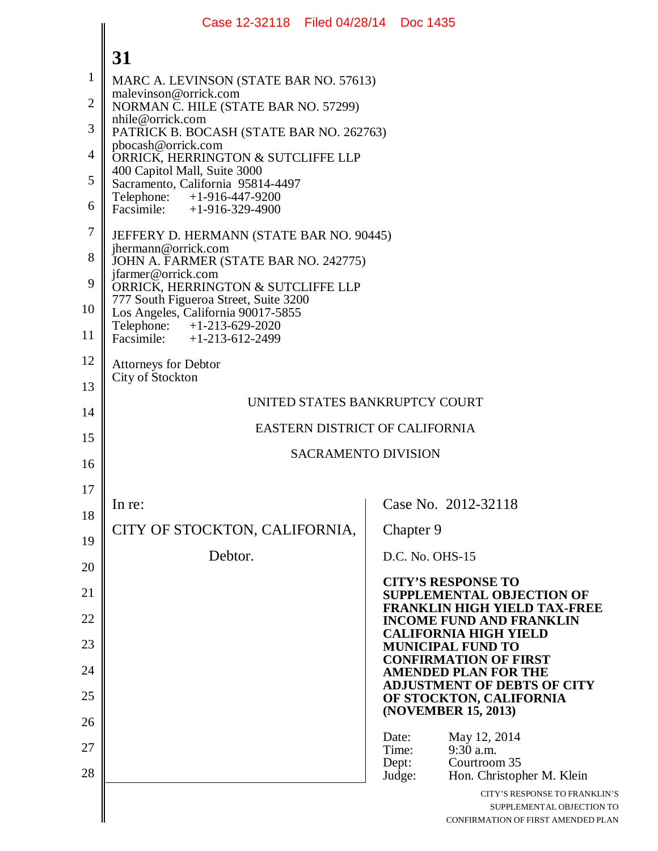|                | Case 12-32118 Filed 04/28/14 Doc 1435                                       |                |                                                                                                  |
|----------------|-----------------------------------------------------------------------------|----------------|--------------------------------------------------------------------------------------------------|
|                | 31                                                                          |                |                                                                                                  |
| $\mathbf{1}$   | MARC A. LEVINSON (STATE BAR NO. 57613)                                      |                |                                                                                                  |
| $\overline{2}$ | malevinson@orrick.com<br>NORMAN C. HILE (STATE BAR NO. 57299)               |                |                                                                                                  |
| 3              | nhile@orrick.com<br>PATRICK B. BOCASH (STATE BAR NO. 262763)                |                |                                                                                                  |
| $\overline{4}$ | pbocash@orrick.com<br>ORRICK, HERRINGTON & SUTCLIFFE LLP                    |                |                                                                                                  |
| 5              | 400 Capitol Mall, Suite 3000<br>Sacramento, California 95814-4497           |                |                                                                                                  |
| 6              | Telephone: +1-916-447-9200<br>Facsimile: $+1-916-329-4900$                  |                |                                                                                                  |
| 7              | JEFFERY D. HERMANN (STATE BAR NO. 90445)                                    |                |                                                                                                  |
| 8              | jhermann@orrick.com<br>JOHN A. FARMER (STATE BAR NO. 242775)                |                |                                                                                                  |
| 9              | jfarmer@orrick.com<br>ORRICK, HERRINGTON & SUTCLIFFE LLP                    |                |                                                                                                  |
| 10             | 777 South Figueroa Street, Suite 3200<br>Los Angeles, California 90017-5855 |                |                                                                                                  |
| 11             | Telephone: +1-213-629-2020<br>Facsimile: $+1-213-612-2499$                  |                |                                                                                                  |
| 12             | <b>Attorneys for Debtor</b>                                                 |                |                                                                                                  |
| 13             | City of Stockton<br>UNITED STATES BANKRUPTCY COURT                          |                |                                                                                                  |
| 14             | EASTERN DISTRICT OF CALIFORNIA                                              |                |                                                                                                  |
| 15             | <b>SACRAMENTO DIVISION</b>                                                  |                |                                                                                                  |
| 16             |                                                                             |                |                                                                                                  |
| 17             | In re:                                                                      |                | Case No. 2012-32118                                                                              |
| 18             | CITY OF STOCKTON, CALIFORNIA,                                               | Chapter 9      |                                                                                                  |
| 19             | Debtor.                                                                     |                | D.C. No. OHS-15                                                                                  |
| 20             |                                                                             |                | <b>CITY'S RESPONSE TO</b>                                                                        |
| 21             |                                                                             |                | <b>SUPPLEMENTAL OBJECTION OF</b><br><b>FRANKLIN HIGH YIELD TAX-FREE</b>                          |
| 22             |                                                                             |                | <b>INCOME FUND AND FRANKLIN</b><br><b>CALIFORNIA HIGH YIELD</b>                                  |
| 23             |                                                                             |                | <b>MUNICIPAL FUND TO</b><br><b>CONFIRMATION OF FIRST</b>                                         |
| 24             |                                                                             |                | <b>AMENDED PLAN FOR THE</b><br><b>ADJUSTMENT OF DEBTS OF CITY</b>                                |
| 25             |                                                                             |                | OF STOCKTON, CALIFORNIA<br>(NOVEMBER 15, 2013)                                                   |
| 26             |                                                                             | Date:          | May 12, 2014                                                                                     |
| 27             |                                                                             | Time:<br>Dept: | $9:30$ a.m.<br>Courtroom 35                                                                      |
| 28             |                                                                             | Judge:         | Hon. Christopher M. Klein                                                                        |
|                |                                                                             |                | CITY'S RESPONSE TO FRANKLIN'S<br>SUPPLEMENTAL OBJECTION TO<br>CONFIRMATION OF FIRST AMENDED PLAN |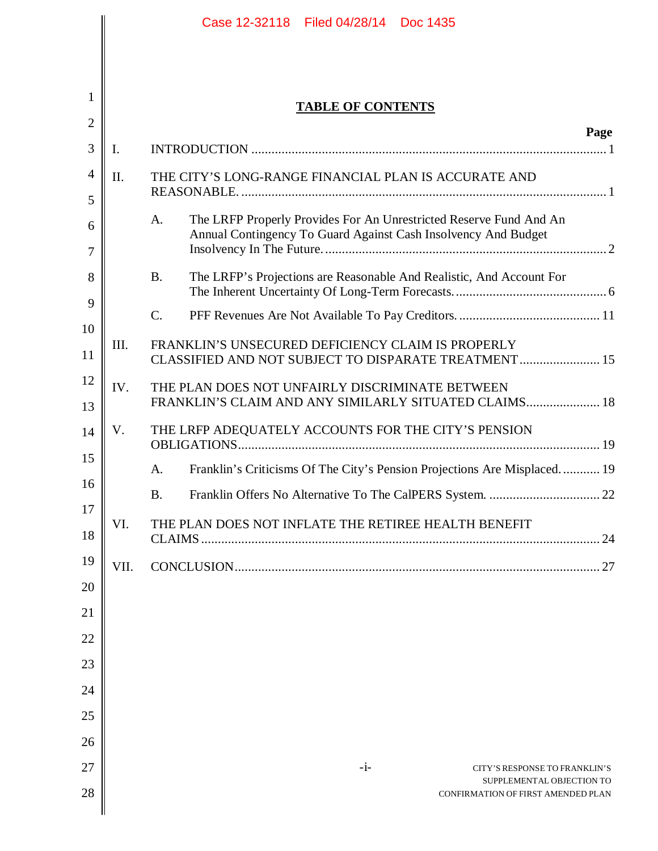|                |                | Case 12-32118 Filed 04/28/14 Doc 1435                                                                                                      |
|----------------|----------------|--------------------------------------------------------------------------------------------------------------------------------------------|
|                |                |                                                                                                                                            |
| 1              |                | <b>TABLE OF CONTENTS</b>                                                                                                                   |
| $\overline{2}$ |                | Page                                                                                                                                       |
| 3              | $\mathbf{I}$ . |                                                                                                                                            |
| 4              | II.            | THE CITY'S LONG-RANGE FINANCIAL PLAN IS ACCURATE AND                                                                                       |
| 5              |                |                                                                                                                                            |
| 6              |                | The LRFP Properly Provides For An Unrestricted Reserve Fund And An<br>A.<br>Annual Contingency To Guard Against Cash Insolvency And Budget |
| 7              |                |                                                                                                                                            |
| 8              |                | The LRFP's Projections are Reasonable And Realistic, And Account For<br><b>B.</b>                                                          |
| 9              |                | $\mathcal{C}$ .                                                                                                                            |
| 10<br>11       | III.           | FRANKLIN'S UNSECURED DEFICIENCY CLAIM IS PROPERLY<br>CLASSIFIED AND NOT SUBJECT TO DISPARATE TREATMENT 15                                  |
| 12             | IV.            | THE PLAN DOES NOT UNFAIRLY DISCRIMINATE BETWEEN                                                                                            |
| 13             |                | FRANKLIN'S CLAIM AND ANY SIMILARLY SITUATED CLAIMS 18                                                                                      |
| 14             | V.             | THE LRFP ADEQUATELY ACCOUNTS FOR THE CITY'S PENSION                                                                                        |
| 15             |                | Franklin's Criticisms Of The City's Pension Projections Are Misplaced 19<br>A.                                                             |
| 16<br>17       |                | <b>B.</b>                                                                                                                                  |
| 18             | VI.            | THE PLAN DOES NOT INFLATE THE RETIREE HEALTH BENEFIT                                                                                       |
| 19             | VII.           |                                                                                                                                            |
| 20             |                |                                                                                                                                            |
| 21             |                |                                                                                                                                            |
| 22             |                |                                                                                                                                            |
| 23             |                |                                                                                                                                            |
| 24             |                |                                                                                                                                            |
| 25             |                |                                                                                                                                            |
| 26<br>27       |                | $-i-$                                                                                                                                      |
| 28             |                | CITY'S RESPONSE TO FRANKLIN'S<br>SUPPLEMENTAL OBJECTION TO<br>CONFIRMATION OF FIRST AMENDED PLAN                                           |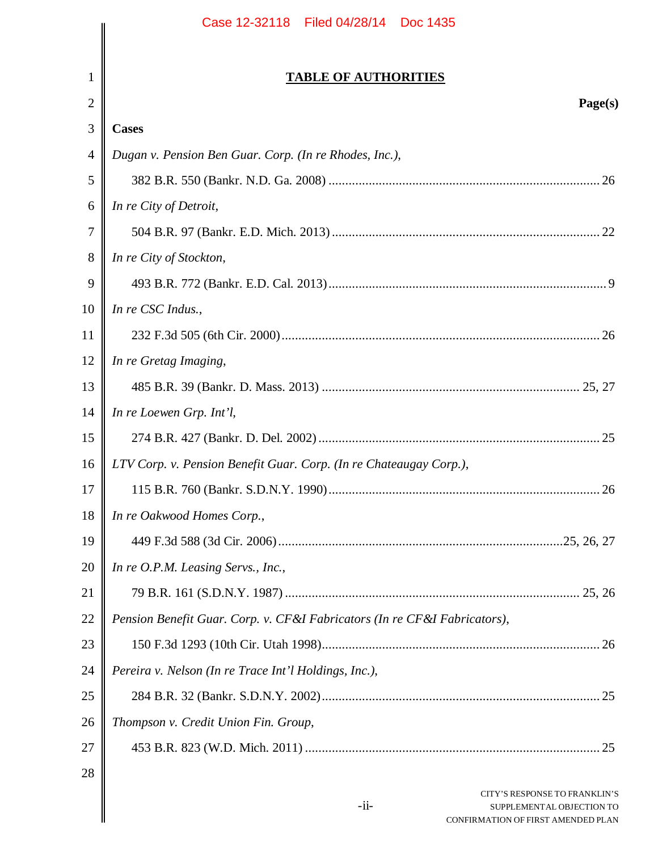| Page(s) |                                                                           |
|---------|---------------------------------------------------------------------------|
|         | 3<br><b>Cases</b>                                                         |
|         | Dugan v. Pension Ben Guar. Corp. (In re Rhodes, Inc.),<br>$\overline{4}$  |
|         | 5                                                                         |
|         | In re City of Detroit,<br>6                                               |
|         |                                                                           |
|         | In re City of Stockton,<br>8                                              |
|         | 9                                                                         |
|         | In re CSC Indus.,<br>10                                                   |
|         |                                                                           |
|         | In re Gretag Imaging,<br>12                                               |
|         | 13                                                                        |
|         | In re Loewen Grp. Int'l,<br>14                                            |
|         | 15                                                                        |
|         | LTV Corp. v. Pension Benefit Guar. Corp. (In re Chateaugay Corp.),<br>16  |
|         | 17                                                                        |
|         | 18<br>In re Oakwood Homes Corp.,                                          |
|         | 19                                                                        |
|         | 20<br>In re O.P.M. Leasing Servs., Inc.,                                  |
|         |                                                                           |
|         | Pension Benefit Guar. Corp. v. CF&I Fabricators (In re CF&I Fabricators), |
|         | 23                                                                        |
|         | 24<br>Pereira v. Nelson (In re Trace Int'l Holdings, Inc.),               |
|         |                                                                           |
|         | Thompson v. Credit Union Fin. Group,<br>26                                |
|         |                                                                           |
|         |                                                                           |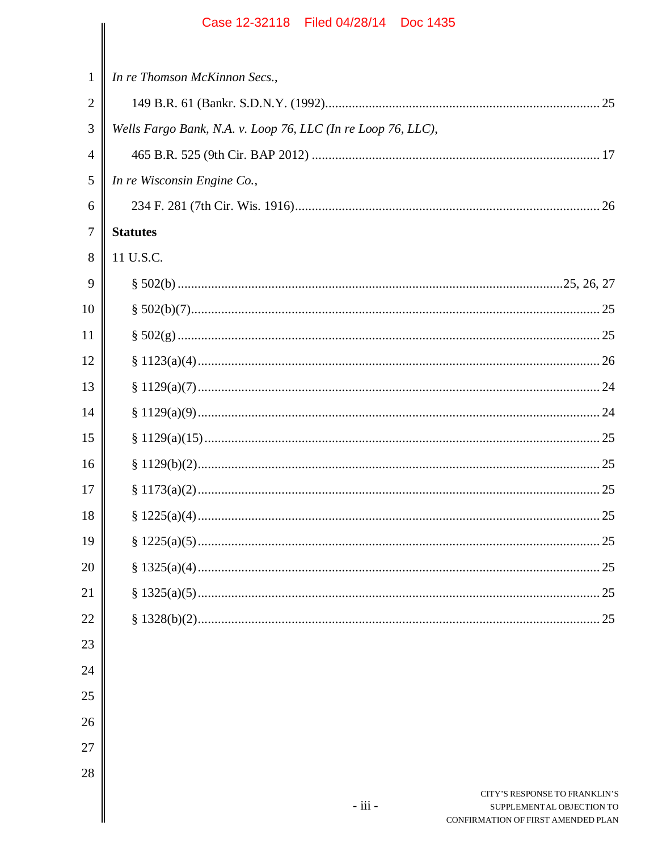| 1              | In re Thomson McKinnon Secs.,                                |
|----------------|--------------------------------------------------------------|
| $\overline{2}$ |                                                              |
| 3              | Wells Fargo Bank, N.A. v. Loop 76, LLC (In re Loop 76, LLC), |
| $\overline{4}$ |                                                              |
| 5              | In re Wisconsin Engine Co.,                                  |
| 6              |                                                              |
| $\overline{7}$ | <b>Statutes</b>                                              |
| 8              | 11 U.S.C.                                                    |
| 9              |                                                              |
| 10             |                                                              |
| 11             |                                                              |
| 12             |                                                              |
| 13             |                                                              |
| 14             |                                                              |
| 15             |                                                              |
| 16             |                                                              |
| 17             |                                                              |
| 18             |                                                              |
| 19             |                                                              |
| $20\,$         |                                                              |
| 21             |                                                              |
| 22             |                                                              |
| 23             |                                                              |
| 24             |                                                              |
| 25             |                                                              |
| 26             |                                                              |
| 27             |                                                              |

28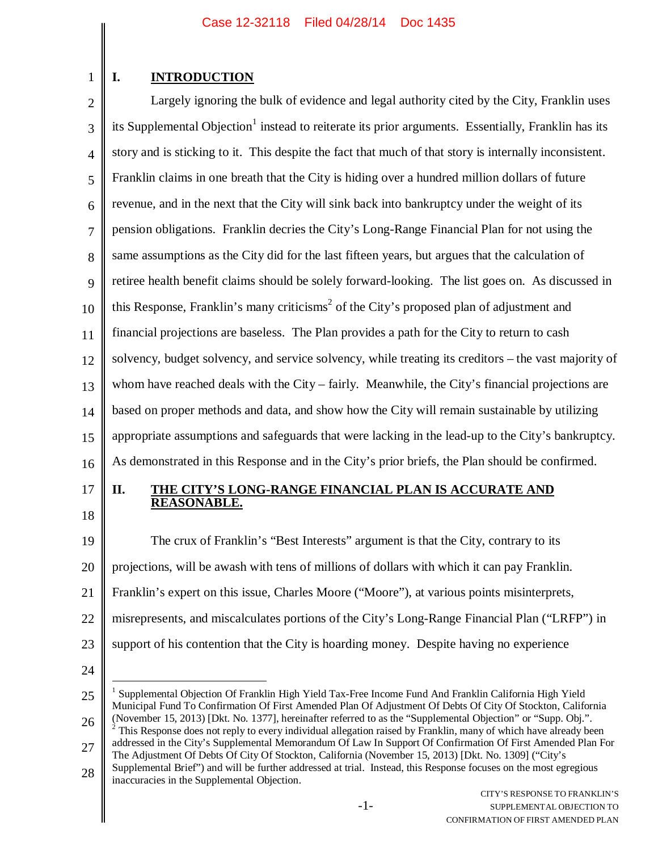# **I. INTRODUCTION**

1

2 3 4 5 6 7 8 9 10 11 12 13 14 15 16 Largely ignoring the bulk of evidence and legal authority cited by the City, Franklin uses its Supplemental Objection<sup>1</sup> instead to reiterate its prior arguments. Essentially, Franklin has its story and is sticking to it. This despite the fact that much of that story is internally inconsistent. Franklin claims in one breath that the City is hiding over a hundred million dollars of future revenue, and in the next that the City will sink back into bankruptcy under the weight of its pension obligations. Franklin decries the City's Long-Range Financial Plan for not using the same assumptions as the City did for the last fifteen years, but argues that the calculation of retiree health benefit claims should be solely forward-looking. The list goes on. As discussed in this Response, Franklin's many criticisms<sup>2</sup> of the City's proposed plan of adjustment and financial projections are baseless. The Plan provides a path for the City to return to cash solvency, budget solvency, and service solvency, while treating its creditors – the vast majority of whom have reached deals with the City – fairly. Meanwhile, the City's financial projections are based on proper methods and data, and show how the City will remain sustainable by utilizing appropriate assumptions and safeguards that were lacking in the lead-up to the City's bankruptcy. As demonstrated in this Response and in the City's prior briefs, the Plan should be confirmed.

17

18

#### **II. THE CITY'S LONG-RANGE FINANCIAL PLAN IS ACCURATE AND REASONABLE.**

19 20 21 22 23 The crux of Franklin's "Best Interests" argument is that the City, contrary to its projections, will be awash with tens of millions of dollars with which it can pay Franklin. Franklin's expert on this issue, Charles Moore ("Moore"), at various points misinterprets, misrepresents, and miscalculates portions of the City's Long-Range Financial Plan ("LRFP") in support of his contention that the City is hoarding money. Despite having no experience

<sup>25</sup> 26 1 Supplemental Objection Of Franklin High Yield Tax-Free Income Fund And Franklin California High Yield Municipal Fund To Confirmation Of First Amended Plan Of Adjustment Of Debts Of City Of Stockton, California (November 15, 2013) [Dkt. No. 1377], hereinafter referred to as the "Supplemental Objection" or "Supp. Obj.".  $2^{2}$  This Response does not reply to every individual allegation raised by Franklin, many of which have already been

<sup>27</sup> addressed in the City's Supplemental Memorandum Of Law In Support Of Confirmation Of First Amended Plan For The Adjustment Of Debts Of City Of Stockton, California (November 15, 2013) [Dkt. No. 1309] ("City's Supplemental Brief") and will be further addressed at trial. Instead, this Response focuses on the most egregious

<sup>28</sup> inaccuracies in the Supplemental Objection.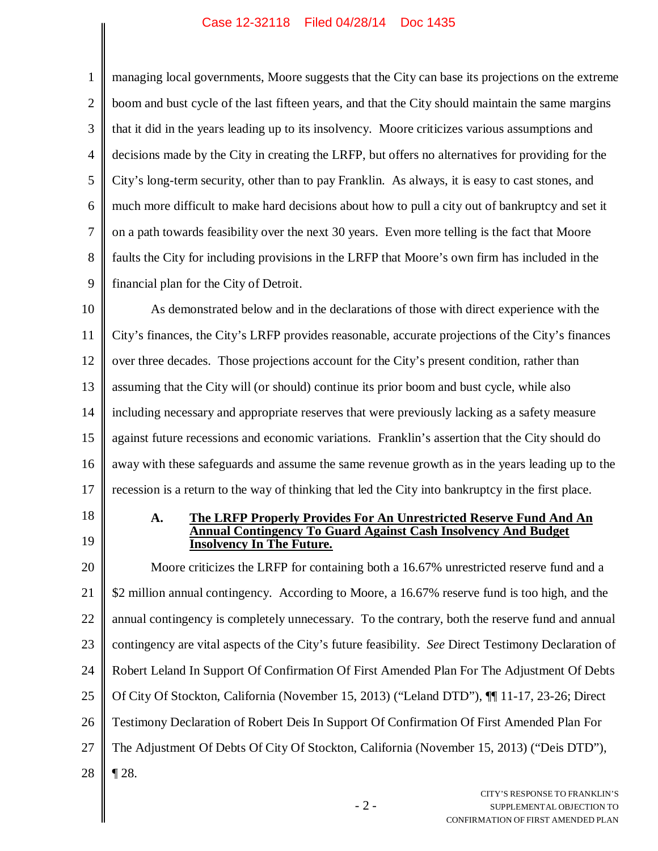$\parallel$ 

| $\mathbf{1}$   | managing local governments, Moore suggests that the City can base its projections on the extreme           |
|----------------|------------------------------------------------------------------------------------------------------------|
| $\overline{2}$ | boom and bust cycle of the last fifteen years, and that the City should maintain the same margins          |
| 3              | that it did in the years leading up to its insolvency. Moore criticizes various assumptions and            |
| $\overline{4}$ | decisions made by the City in creating the LRFP, but offers no alternatives for providing for the          |
| 5              | City's long-term security, other than to pay Franklin. As always, it is easy to cast stones, and           |
| 6              | much more difficult to make hard decisions about how to pull a city out of bankruptcy and set it           |
| $\tau$         | on a path towards feasibility over the next 30 years. Even more telling is the fact that Moore             |
| 8              | faults the City for including provisions in the LRFP that Moore's own firm has included in the             |
| 9              | financial plan for the City of Detroit.                                                                    |
| 10             | As demonstrated below and in the declarations of those with direct experience with the                     |
| 11             | City's finances, the City's LRFP provides reasonable, accurate projections of the City's finances          |
| 12             | over three decades. Those projections account for the City's present condition, rather than                |
| 13             | assuming that the City will (or should) continue its prior boom and bust cycle, while also                 |
| 14             | including necessary and appropriate reserves that were previously lacking as a safety measure              |
| 15             | against future recessions and economic variations. Franklin's assertion that the City should do            |
| 16             | away with these safeguards and assume the same revenue growth as in the years leading up to the            |
| 17             | recession is a return to the way of thinking that led the City into bankruptcy in the first place.         |
| 18             | The LRFP Properly Provides For An Unrestricted Reserve Fund And An<br>A.                                   |
| 19             | <b>Contingency To Guard Against Cash Insolvency And Budget</b><br><b>Insolvency In The Future.</b>         |
| 20             | Moore criticizes the LRFP for containing both a 16.67% unrestricted reserve fund and a                     |
| 21             | \$2 million annual contingency. According to Moore, a 16.67% reserve fund is too high, and the             |
| 22             | annual contingency is completely unnecessary. To the contrary, both the reserve fund and annual            |
| 23             | contingency are vital aspects of the City's future feasibility. See Direct Testimony Declaration of        |
| 24             | Robert Leland In Support Of Confirmation Of First Amended Plan For The Adjustment Of Debts                 |
| 25             | Of City Of Stockton, California (November 15, 2013) ("Leland DTD"), [[11-17, 23-26; Direct                 |
| 26             | Testimony Declaration of Robert Deis In Support Of Confirmation Of First Amended Plan For                  |
| 27             | The Adjustment Of Debts Of City Of Stockton, California (November 15, 2013) ("Deis DTD"),                  |
| 28             | $\P$ 28.                                                                                                   |
|                | CITY'S RESPONSE TO FRANKLIN'S<br>$-2-$<br>SUPPLEMENTAL OBJECTION TO<br>CONFIDM ATION OF FIDET AMENDED BLAN |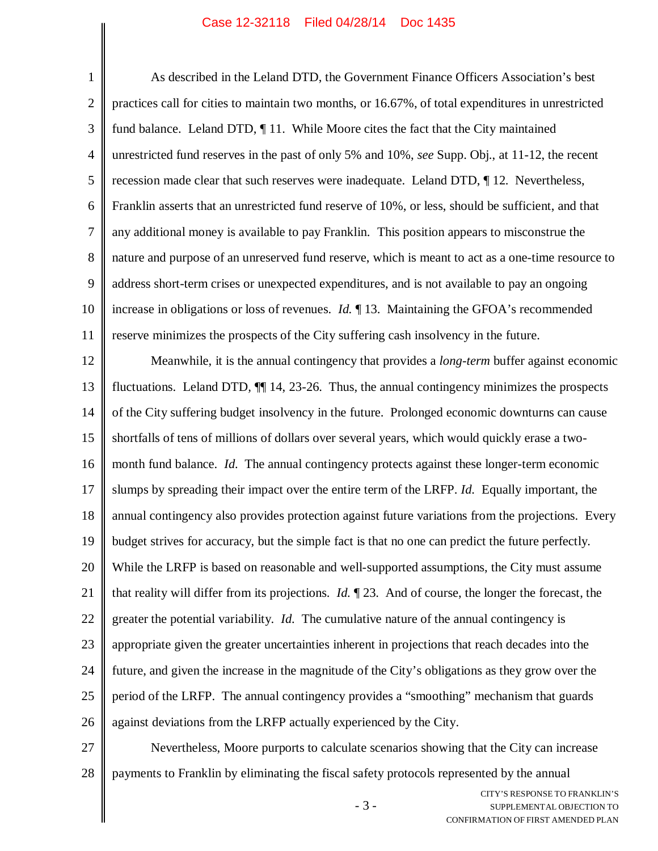1 2 3 4 5 6 7 8 9 10 11 As described in the Leland DTD, the Government Finance Officers Association's best practices call for cities to maintain two months, or 16.67%, of total expenditures in unrestricted fund balance. Leland DTD, ¶ 11. While Moore cites the fact that the City maintained unrestricted fund reserves in the past of only 5% and 10%, *see* Supp. Obj., at 11-12, the recent recession made clear that such reserves were inadequate. Leland DTD, ¶ 12. Nevertheless, Franklin asserts that an unrestricted fund reserve of 10%, or less, should be sufficient, and that any additional money is available to pay Franklin. This position appears to misconstrue the nature and purpose of an unreserved fund reserve, which is meant to act as a one-time resource to address short-term crises or unexpected expenditures, and is not available to pay an ongoing increase in obligations or loss of revenues. *Id.* ¶ 13. Maintaining the GFOA's recommended reserve minimizes the prospects of the City suffering cash insolvency in the future.

12 13 14 15 16 17 18 19 20 21 22 23 24 25 26 Meanwhile, it is the annual contingency that provides a *long-term* buffer against economic fluctuations. Leland DTD*,* ¶¶ 14, 23-26. Thus, the annual contingency minimizes the prospects of the City suffering budget insolvency in the future. Prolonged economic downturns can cause shortfalls of tens of millions of dollars over several years, which would quickly erase a twomonth fund balance. *Id.* The annual contingency protects against these longer-term economic slumps by spreading their impact over the entire term of the LRFP. *Id.* Equally important, the annual contingency also provides protection against future variations from the projections. Every budget strives for accuracy, but the simple fact is that no one can predict the future perfectly. While the LRFP is based on reasonable and well-supported assumptions, the City must assume that reality will differ from its projections. *Id.* ¶ 23. And of course, the longer the forecast, the greater the potential variability. *Id.* The cumulative nature of the annual contingency is appropriate given the greater uncertainties inherent in projections that reach decades into the future, and given the increase in the magnitude of the City's obligations as they grow over the period of the LRFP. The annual contingency provides a "smoothing" mechanism that guards against deviations from the LRFP actually experienced by the City.

27 28 Nevertheless, Moore purports to calculate scenarios showing that the City can increase payments to Franklin by eliminating the fiscal safety protocols represented by the annual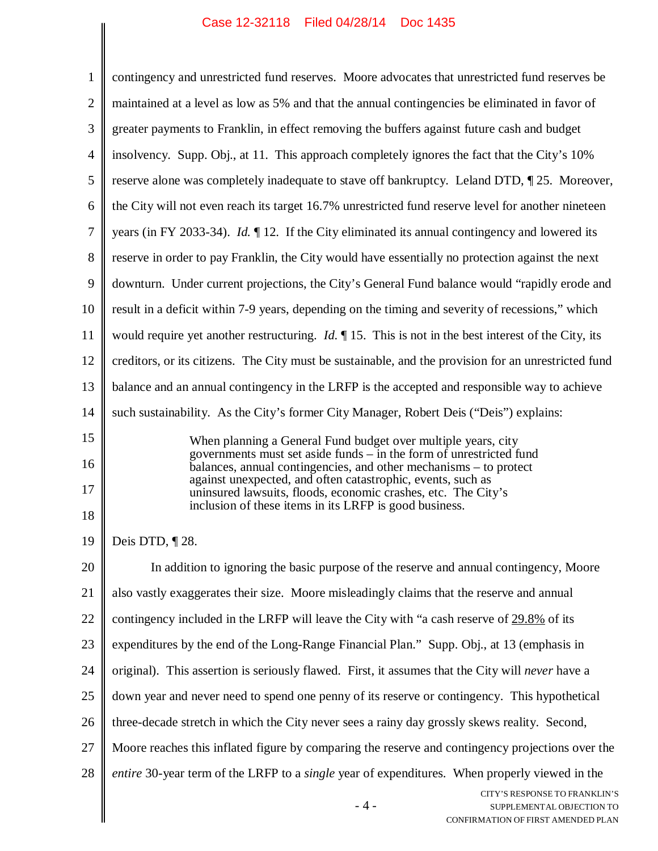$\parallel$ 

| 1              | contingency and unrestricted fund reserves. Moore advocates that unrestricted fund reserves be                                           |
|----------------|------------------------------------------------------------------------------------------------------------------------------------------|
| $\overline{2}$ | maintained at a level as low as 5% and that the annual contingencies be eliminated in favor of                                           |
| 3              | greater payments to Franklin, in effect removing the buffers against future cash and budget                                              |
| $\overline{4}$ | insolvency. Supp. Obj., at 11. This approach completely ignores the fact that the City's 10%                                             |
| 5              | reserve alone was completely inadequate to stave off bankruptcy. Leland DTD, 125. Moreover,                                              |
| 6              | the City will not even reach its target 16.7% unrestricted fund reserve level for another nineteen                                       |
| 7              | years (in FY 2033-34). <i>Id.</i> $\P$ 12. If the City eliminated its annual contingency and lowered its                                 |
| 8              | reserve in order to pay Franklin, the City would have essentially no protection against the next                                         |
| 9              | downturn. Under current projections, the City's General Fund balance would "rapidly erode and                                            |
| 10             | result in a deficit within 7-9 years, depending on the timing and severity of recessions," which                                         |
| 11             | would require yet another restructuring. <i>Id.</i> $\parallel$ 15. This is not in the best interest of the City, its                    |
| 12             | creditors, or its citizens. The City must be sustainable, and the provision for an unrestricted fund                                     |
| 13             | balance and an annual contingency in the LRFP is the accepted and responsible way to achieve                                             |
| 14             | such sustainability. As the City's former City Manager, Robert Deis ("Deis") explains:                                                   |
| 15             | When planning a General Fund budget over multiple years, city                                                                            |
| 16             | governments must set aside funds – in the form of unrestricted fund<br>balances, annual contingencies, and other mechanisms – to protect |
| 17             | against unexpected, and often catastrophic, events, such as<br>uninsured lawsuits, floods, economic crashes, etc. The City's             |
| 18             | inclusion of these items in its LRFP is good business.                                                                                   |
| 19             | Deis DTD, ¶28.                                                                                                                           |
| 20             | In addition to ignoring the basic purpose of the reserve and annual contingency, Moore                                                   |
| 21             | also vastly exaggerates their size. Moore misleadingly claims that the reserve and annual                                                |
| 22             | contingency included in the LRFP will leave the City with "a cash reserve of 29.8% of its                                                |
| 23             | expenditures by the end of the Long-Range Financial Plan." Supp. Obj., at 13 (emphasis in                                                |
| 24             | original). This assertion is seriously flawed. First, it assumes that the City will never have a                                         |
| 25             | down year and never need to spend one penny of its reserve or contingency. This hypothetical                                             |
| 26             | three-decade stretch in which the City never sees a rainy day grossly skews reality. Second,                                             |
| 27             | Moore reaches this inflated figure by comparing the reserve and contingency projections over the                                         |
| 28             | <i>entire</i> 30-year term of the LRFP to a <i>single</i> year of expenditures. When properly viewed in the                              |
|                | CITY'S RESPONSE TO FRANKLIN'S<br>$-4-$<br>SUPPLEMENTAL OBJECTION TO<br>CONFIRMATION OF FIRST AMENDED PLAN                                |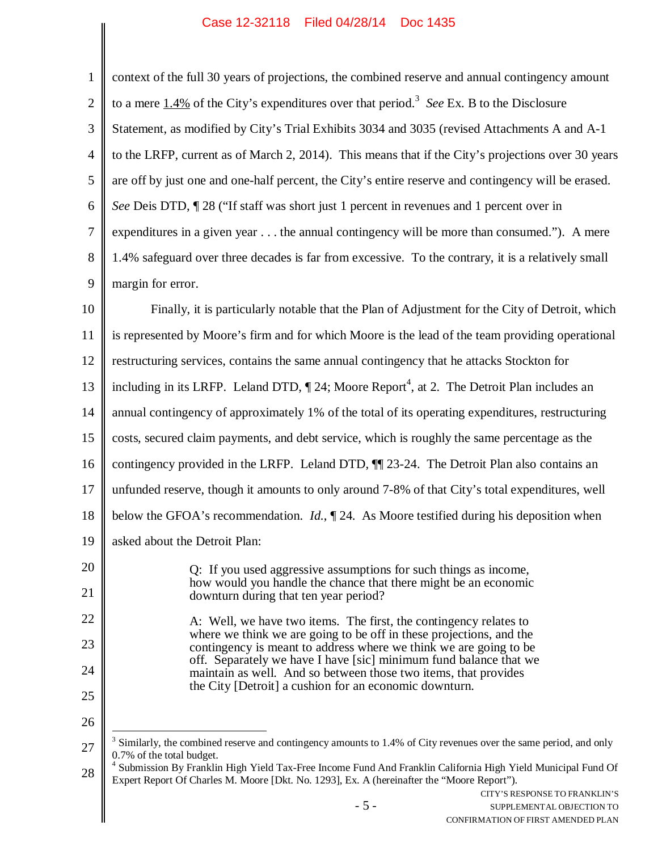$\parallel$ 

| $\mathbf{1}$   | context of the full 30 years of projections, the combined reserve and annual contingency amount                                                                                                                        |
|----------------|------------------------------------------------------------------------------------------------------------------------------------------------------------------------------------------------------------------------|
| $\overline{2}$ | to a mere $1.4\%$ of the City's expenditures over that period. <sup>3</sup> See Ex. B to the Disclosure                                                                                                                |
| 3              | Statement, as modified by City's Trial Exhibits 3034 and 3035 (revised Attachments A and A-1                                                                                                                           |
| $\overline{4}$ | to the LRFP, current as of March 2, 2014). This means that if the City's projections over 30 years                                                                                                                     |
| 5              | are off by just one and one-half percent, the City's entire reserve and contingency will be erased.                                                                                                                    |
| 6              | See Deis DTD, 128 ("If staff was short just 1 percent in revenues and 1 percent over in                                                                                                                                |
| 7              | expenditures in a given year the annual contingency will be more than consumed."). A mere                                                                                                                              |
| 8              | 1.4% safeguard over three decades is far from excessive. To the contrary, it is a relatively small                                                                                                                     |
| 9              | margin for error.                                                                                                                                                                                                      |
| 10             | Finally, it is particularly notable that the Plan of Adjustment for the City of Detroit, which                                                                                                                         |
| 11             | is represented by Moore's firm and for which Moore is the lead of the team providing operational                                                                                                                       |
| 12             | restructuring services, contains the same annual contingency that he attacks Stockton for                                                                                                                              |
| 13             | including in its LRFP. Leland DTD, $\P$ 24; Moore Report <sup>4</sup> , at 2. The Detroit Plan includes an                                                                                                             |
| 14             | annual contingency of approximately 1% of the total of its operating expenditures, restructuring                                                                                                                       |
| 15             | costs, secured claim payments, and debt service, which is roughly the same percentage as the                                                                                                                           |
| 16             | contingency provided in the LRFP. Leland DTD, $\P$ 23-24. The Detroit Plan also contains an                                                                                                                            |
| 17             | unfunded reserve, though it amounts to only around 7-8% of that City's total expenditures, well                                                                                                                        |
| 18             | below the GFOA's recommendation. $Id.$ , $\P$ 24. As Moore testified during his deposition when                                                                                                                        |
| 19             | asked about the Detroit Plan:                                                                                                                                                                                          |
| 20             | Q: If you used aggressive assumptions for such things as income,                                                                                                                                                       |
| 21             | how would you handle the chance that there might be an economic<br>downturn during that ten year period?                                                                                                               |
| 22             | A: Well, we have two items. The first, the contingency relates to                                                                                                                                                      |
| 23             | where we think we are going to be off in these projections, and the<br>contingency is meant to address where we think we are going to be                                                                               |
| 24             | off. Separately we have I have [sic] minimum fund balance that we<br>maintain as well. And so between those two items, that provides                                                                                   |
| 25             | the City [Detroit] a cushion for an economic downturn.                                                                                                                                                                 |
| 26             |                                                                                                                                                                                                                        |
| 27             | $3$ Similarly, the combined reserve and contingency amounts to 1.4% of City revenues over the same period, and only<br>0.7% of the total budget.                                                                       |
| 28             | <sup>4</sup> Submission By Franklin High Yield Tax-Free Income Fund And Franklin California High Yield Municipal Fund Of<br>Expert Report Of Charles M. Moore [Dkt. No. 1293], Ex. A (hereinafter the "Moore Report"). |
|                | CITY'S RESPONSE TO FRANKLIN'S<br>$-5-$<br>SUPPLEMENTAL OBJECTION TO<br>CONFIRMATION OF FIRST AMENDED PLAN                                                                                                              |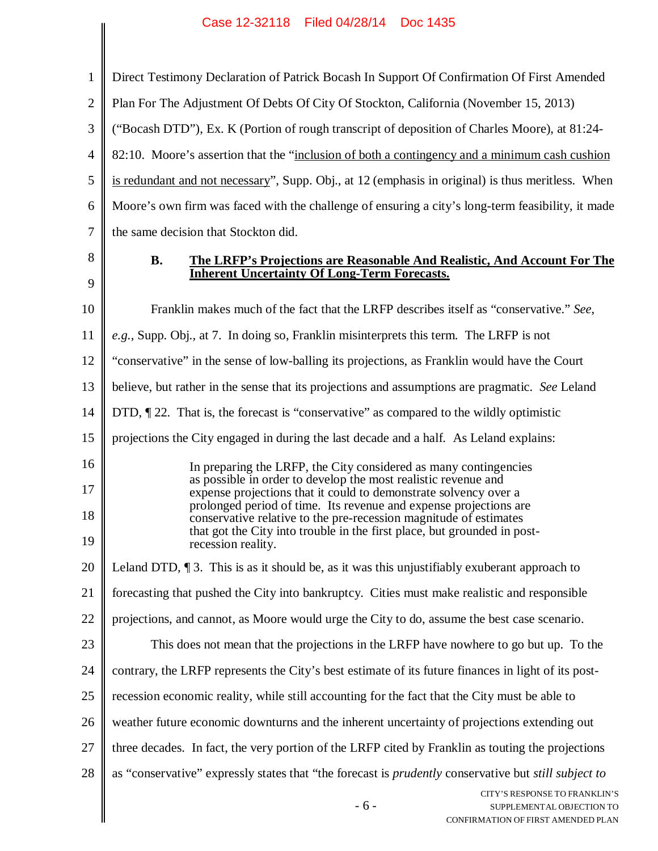| $\mathbf{1}$   | Direct Testimony Declaration of Patrick Bocash In Support Of Confirmation Of First Amended                                                   |
|----------------|----------------------------------------------------------------------------------------------------------------------------------------------|
| $\overline{2}$ | Plan For The Adjustment Of Debts Of City Of Stockton, California (November 15, 2013)                                                         |
| 3              | ("Bocash DTD"), Ex. K (Portion of rough transcript of deposition of Charles Moore), at 81:24-                                                |
| $\overline{4}$ | 82:10. Moore's assertion that the "inclusion of both a contingency and a minimum cash cushion                                                |
| 5              | is redundant and not necessary", Supp. Obj., at 12 (emphasis in original) is thus meritless. When                                            |
| 6              | Moore's own firm was faced with the challenge of ensuring a city's long-term feasibility, it made                                            |
| 7              | the same decision that Stockton did.                                                                                                         |
| 8              | <b>B.</b><br>The LRFP's Projections are Reasonable And Realistic, And Account For The<br><b>Inherent Uncertainty Of Long-Term Forecasts.</b> |
| 9              |                                                                                                                                              |
| 10             | Franklin makes much of the fact that the LRFP describes itself as "conservative." See,                                                       |
| 11             | e.g., Supp. Obj., at 7. In doing so, Franklin misinterprets this term. The LRFP is not                                                       |
| 12             | "conservative" in the sense of low-balling its projections, as Franklin would have the Court                                                 |
| 13             | believe, but rather in the sense that its projections and assumptions are pragmatic. See Leland                                              |
| 14             | DTD, $\P$ 22. That is, the forecast is "conservative" as compared to the wildly optimistic                                                   |
| 15             | projections the City engaged in during the last decade and a half. As Leland explains:                                                       |
| 16             | In preparing the LRFP, the City considered as many contingencies                                                                             |
| 17             | as possible in order to develop the most realistic revenue and<br>expense projections that it could to demonstrate solvency over a           |
| 18             | prolonged period of time. Its revenue and expense projections are<br>conservative relative to the pre-recession magnitude of estimates       |
| 19             | that got the City into trouble in the first place, but grounded in post-<br>recession reality.                                               |
| 20             | Leland DTD, $\P$ 3. This is as it should be, as it was this unjustifiably exuberant approach to                                              |
| 21             | forecasting that pushed the City into bankruptcy. Cities must make realistic and responsible                                                 |
| 22             | projections, and cannot, as Moore would urge the City to do, assume the best case scenario.                                                  |
| 23             | This does not mean that the projections in the LRFP have nowhere to go but up. To the                                                        |
| 24             | contrary, the LRFP represents the City's best estimate of its future finances in light of its post-                                          |
| 25             | recession economic reality, while still accounting for the fact that the City must be able to                                                |
| 26             | weather future economic downturns and the inherent uncertainty of projections extending out                                                  |
| 27             | three decades. In fact, the very portion of the LRFP cited by Franklin as touting the projections                                            |
| 28             | as "conservative" expressly states that "the forecast is <i>prudently</i> conservative but <i>still subject to</i>                           |
|                | CITY'S RESPONSE TO FRANKLIN'S<br>$-6-$<br>SUPPLEMENTAL OBJECTION TO<br>CONFIRMATION OF FIRST AMENDED PLAN                                    |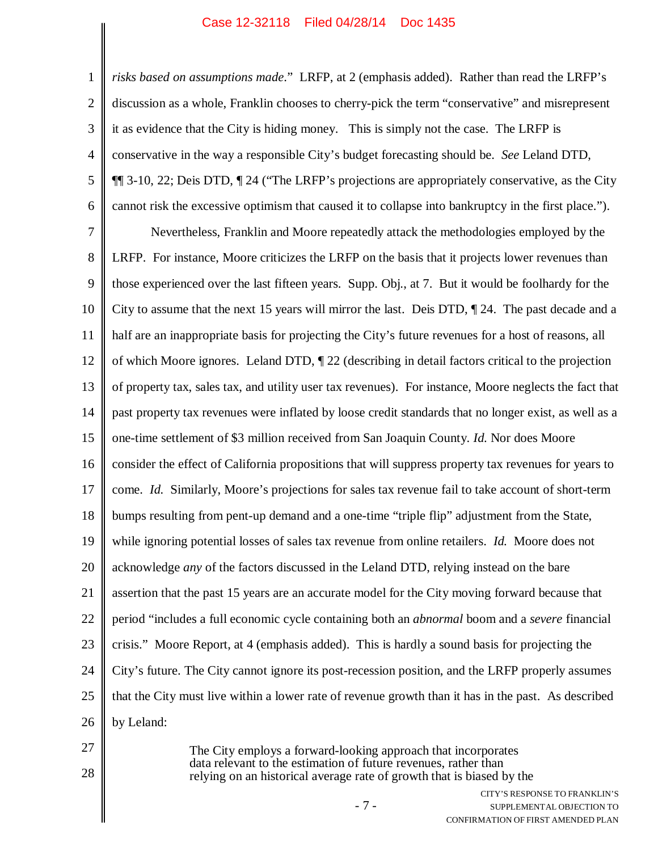3 4 6 *risks based on assumptions made*." LRFP, at 2 (emphasis added). Rather than read the LRFP's discussion as a whole, Franklin chooses to cherry-pick the term "conservative" and misrepresent it as evidence that the City is hiding money. This is simply not the case. The LRFP is conservative in the way a responsible City's budget forecasting should be. *See* Leland DTD, ¶¶ 3-10, 22; Deis DTD, ¶ 24 ("The LRFP's projections are appropriately conservative, as the City cannot risk the excessive optimism that caused it to collapse into bankruptcy in the first place.").

7 8 9 10 11 12 13 14 15 16 17 18 19 20 21 22 23 24 25 26 Nevertheless, Franklin and Moore repeatedly attack the methodologies employed by the LRFP. For instance, Moore criticizes the LRFP on the basis that it projects lower revenues than those experienced over the last fifteen years. Supp. Obj., at 7. But it would be foolhardy for the City to assume that the next 15 years will mirror the last. Deis DTD, ¶ 24. The past decade and a half are an inappropriate basis for projecting the City's future revenues for a host of reasons, all of which Moore ignores. Leland DTD, ¶ 22 (describing in detail factors critical to the projection of property tax, sales tax, and utility user tax revenues). For instance, Moore neglects the fact that past property tax revenues were inflated by loose credit standards that no longer exist, as well as a one-time settlement of \$3 million received from San Joaquin County. *Id.* Nor does Moore consider the effect of California propositions that will suppress property tax revenues for years to come. *Id.* Similarly, Moore's projections for sales tax revenue fail to take account of short-term bumps resulting from pent-up demand and a one-time "triple flip" adjustment from the State, while ignoring potential losses of sales tax revenue from online retailers. *Id.* Moore does not acknowledge *any* of the factors discussed in the Leland DTD, relying instead on the bare assertion that the past 15 years are an accurate model for the City moving forward because that period "includes a full economic cycle containing both an *abnormal* boom and a *severe* financial crisis." Moore Report, at 4 (emphasis added). This is hardly a sound basis for projecting the City's future. The City cannot ignore its post-recession position, and the LRFP properly assumes that the City must live within a lower rate of revenue growth than it has in the past. As described by Leland:

27

1

2

5

28

The City employs a forward-looking approach that incorporates data relevant to the estimation of future revenues, rather than relying on an historical average rate of growth that is biased by the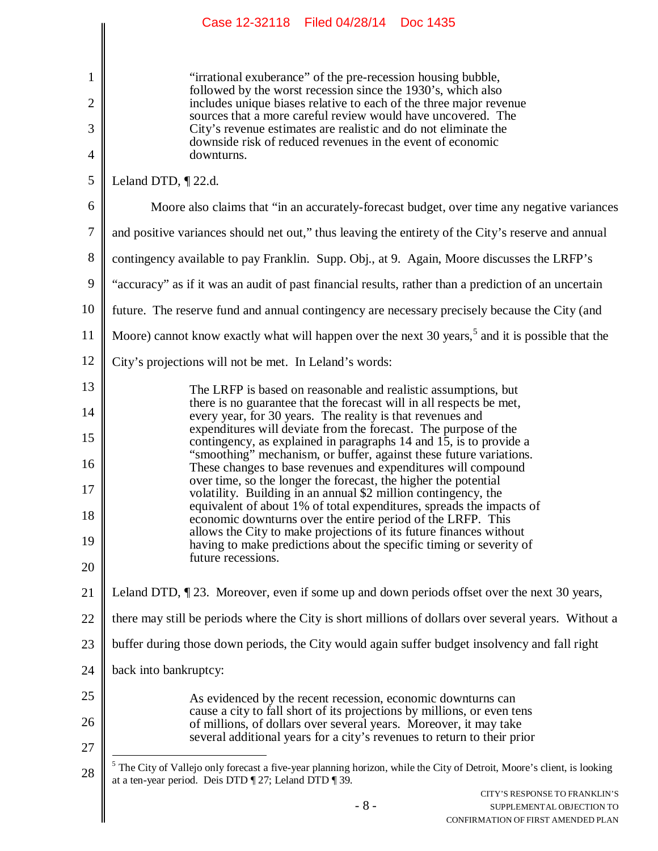|              | Case 12-32118   Filed 04/28/14   Doc 1435                                                                                                                                                   |
|--------------|---------------------------------------------------------------------------------------------------------------------------------------------------------------------------------------------|
|              |                                                                                                                                                                                             |
| $\mathbf{1}$ | "irrational exuberance" of the pre-recession housing bubble,                                                                                                                                |
| 2            | followed by the worst recession since the 1930's, which also<br>includes unique biases relative to each of the three major revenue                                                          |
| 3            | sources that a more careful review would have uncovered. The<br>City's revenue estimates are realistic and do not eliminate the                                                             |
| 4            | downside risk of reduced revenues in the event of economic<br>downturns.                                                                                                                    |
| 5            | Leland DTD, $\P$ 22.d.                                                                                                                                                                      |
| 6            | Moore also claims that "in an accurately-forecast budget, over time any negative variances                                                                                                  |
| 7            | and positive variances should net out," thus leaving the entirety of the City's reserve and annual                                                                                          |
| 8            | contingency available to pay Franklin. Supp. Obj., at 9. Again, Moore discusses the LRFP's                                                                                                  |
| 9            | "accuracy" as if it was an audit of past financial results, rather than a prediction of an uncertain                                                                                        |
| 10           | future. The reserve fund and annual contingency are necessary precisely because the City (and                                                                                               |
| 11           | Moore) cannot know exactly what will happen over the next 30 years, <sup>5</sup> and it is possible that the                                                                                |
| 12           | City's projections will not be met. In Leland's words:                                                                                                                                      |
| 13           | The LRFP is based on reasonable and realistic assumptions, but                                                                                                                              |
| 14           | there is no guarantee that the forecast will in all respects be met,<br>every year, for 30 years. The reality is that revenues and                                                          |
| 15           | expenditures will deviate from the forecast. The purpose of the<br>contingency, as explained in paragraphs 14 and 15, is to provide a                                                       |
| 16           | "smoothing" mechanism, or buffer, against these future variations.<br>These changes to base revenues and expenditures will compound                                                         |
| 17           | over time, so the longer the forecast, the higher the potential<br>volatility. Building in an annual \$2 million contingency, the                                                           |
| 18           | equivalent of about 1% of total expenditures, spreads the impacts of<br>economic downturns over the entire period of the LRFP. This                                                         |
| 19           | allows the City to make projections of its future finances without<br>having to make predictions about the specific timing or severity of                                                   |
| 20           | future recessions.                                                                                                                                                                          |
| 21           | Leland DTD, $\P$ 23. Moreover, even if some up and down periods offset over the next 30 years,                                                                                              |
| 22           | there may still be periods where the City is short millions of dollars over several years. Without a                                                                                        |
| 23           | buffer during those down periods, the City would again suffer budget insolvency and fall right                                                                                              |
| 24           | back into bankruptcy:                                                                                                                                                                       |
| 25           | As evidenced by the recent recession, economic downturns can                                                                                                                                |
| 26           | cause a city to fall short of its projections by millions, or even tens<br>of millions, of dollars over several years. Moreover, it may take                                                |
| 27           | several additional years for a city's revenues to return to their prior                                                                                                                     |
| 28           | <sup>5</sup> The City of Vallejo only forecast a five-year planning horizon, while the City of Detroit, Moore's client, is looking<br>at a ten-year period. Deis DTD ¶ 27; Leland DTD ¶ 39. |
|              | CITY'S RESPONSE TO FRANKLIN'S<br>$-8-$                                                                                                                                                      |
|              | SUPPLEMENTAL OBJECTION TO<br>CONFIRMATION OF FIRST AMENDED PLAN                                                                                                                             |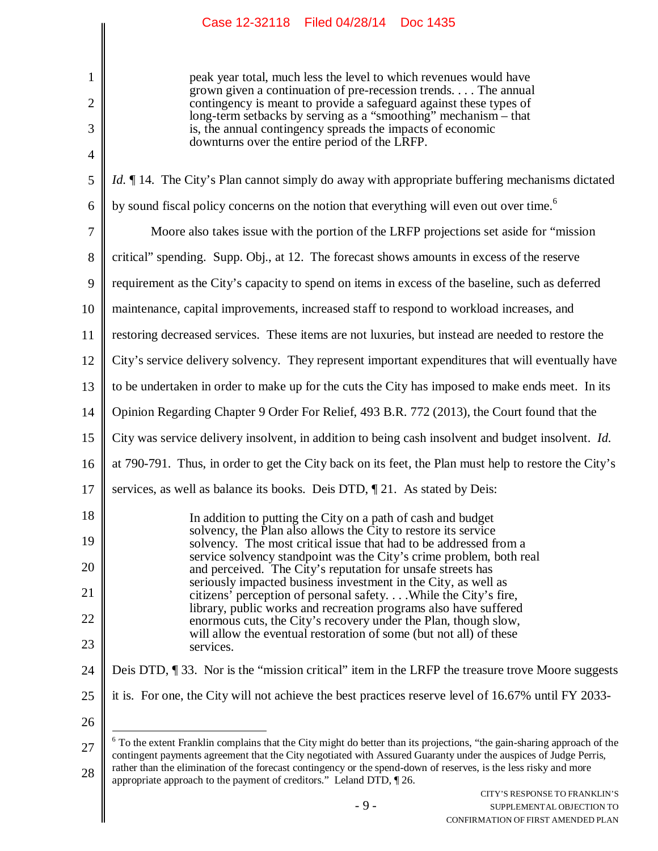1 2 3 4 5 6 7 8 9 10 11 12 13 14 15 16 17 18 19 20 21 22 23 24 25 26 27 28 peak year total, much less the level to which revenues would have grown given a continuation of pre-recession trends. . . . The annual contingency is meant to provide a safeguard against these types of long-term setbacks by serving as a "smoothing" mechanism – that is, the annual contingency spreads the impacts of economic downturns over the entire period of the LRFP. *Id.*  $\P$  14. The City's Plan cannot simply do away with appropriate buffering mechanisms dictated by sound fiscal policy concerns on the notion that everything will even out over time.<sup>6</sup> Moore also takes issue with the portion of the LRFP projections set aside for "mission critical" spending. Supp. Obj., at 12. The forecast shows amounts in excess of the reserve requirement as the City's capacity to spend on items in excess of the baseline, such as deferred maintenance, capital improvements, increased staff to respond to workload increases, and restoring decreased services. These items are not luxuries, but instead are needed to restore the City's service delivery solvency. They represent important expenditures that will eventually have to be undertaken in order to make up for the cuts the City has imposed to make ends meet. In its Opinion Regarding Chapter 9 Order For Relief, 493 B.R. 772 (2013), the Court found that the City was service delivery insolvent, in addition to being cash insolvent and budget insolvent. *Id.* at 790-791. Thus, in order to get the City back on its feet, the Plan must help to restore the City's services, as well as balance its books. Deis DTD,  $\P$  21. As stated by Deis: In addition to putting the City on a path of cash and budget solvency, the Plan also allows the City to restore its service solvency. The most critical issue that had to be addressed from a service solvency standpoint was the City's crime problem, both real and perceived. The City's reputation for unsafe streets has seriously impacted business investment in the City, as well as citizens' perception of personal safety. . . .While the City's fire, library, public works and recreation programs also have suffered enormous cuts, the City's recovery under the Plan, though slow, will allow the eventual restoration of some (but not all) of these services. Deis DTD,  $\P$  33. Nor is the "mission critical" item in the LRFP the treasure trove Moore suggests it is. For one, the City will not achieve the best practices reserve level of 16.67% until FY 2033-  $6$  To the extent Franklin complains that the City might do better than its projections, "the gain-sharing approach of the contingent payments agreement that the City negotiated with Assured Guaranty under the auspices of Judge Perris, rather than the elimination of the forecast contingency or the spend-down of reserves, is the less risky and more appropriate approach to the payment of creditors." Leland DTD, ¶ 26.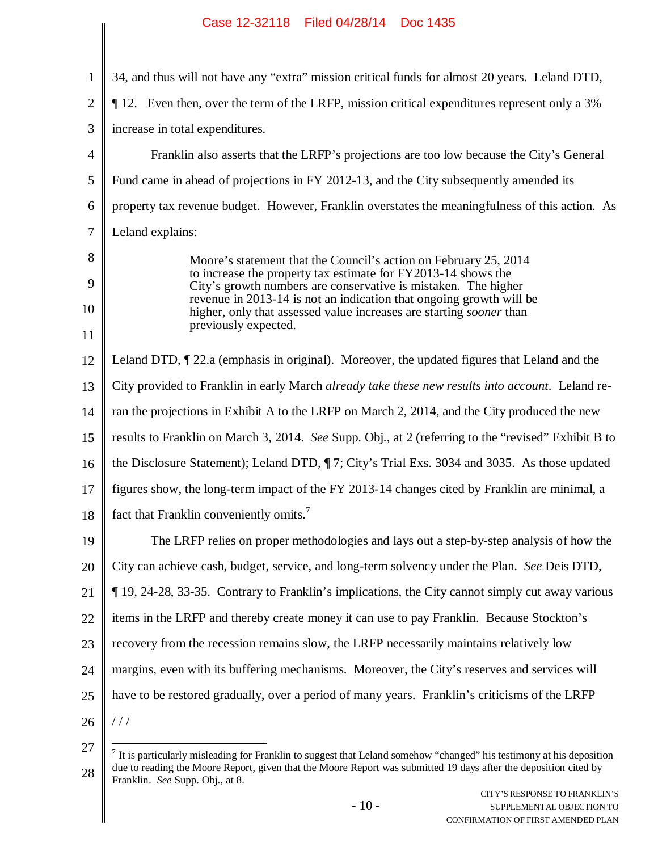| 1              | 34, and thus will not have any "extra" mission critical funds for almost 20 years. Leland DTD,                                                    |
|----------------|---------------------------------------------------------------------------------------------------------------------------------------------------|
| $\overline{2}$ | 12. Even then, over the term of the LRFP, mission critical expenditures represent only a 3%                                                       |
| 3              | increase in total expenditures.                                                                                                                   |
| $\overline{4}$ | Franklin also asserts that the LRFP's projections are too low because the City's General                                                          |
| 5              | Fund came in ahead of projections in FY 2012-13, and the City subsequently amended its                                                            |
| 6              | property tax revenue budget. However, Franklin overstates the meaningfulness of this action. As                                                   |
| 7              | Leland explains:                                                                                                                                  |
| 8              | Moore's statement that the Council's action on February 25, 2014                                                                                  |
| 9              | to increase the property tax estimate for FY2013-14 shows the<br>City's growth numbers are conservative is mistaken. The higher                   |
| 10             | revenue in 2013-14 is not an indication that ongoing growth will be<br>higher, only that assessed value increases are starting <i>sooner</i> than |
| 11             | previously expected.                                                                                                                              |
| 12             | Leland DTD, $\P$ 22.a (emphasis in original). Moreover, the updated figures that Leland and the                                                   |
| 13             | City provided to Franklin in early March <i>already take these new results into account</i> . Leland re-                                          |
| 14             | ran the projections in Exhibit A to the LRFP on March 2, 2014, and the City produced the new                                                      |
| 15             | results to Franklin on March 3, 2014. See Supp. Obj., at 2 (referring to the "revised" Exhibit B to                                               |
| 16             | the Disclosure Statement); Leland DTD, ¶7; City's Trial Exs. 3034 and 3035. As those updated                                                      |
| 17             | figures show, the long-term impact of the FY 2013-14 changes cited by Franklin are minimal, a                                                     |
| 18             | fact that Franklin conveniently omits. <sup>7</sup>                                                                                               |
| 19             | The LRFP relies on proper methodologies and lays out a step-by-step analysis of how the                                                           |
| 20             | City can achieve cash, budget, service, and long-term solvency under the Plan. See Deis DTD,                                                      |
| 21             | 19, 24-28, 33-35. Contrary to Franklin's implications, the City cannot simply cut away various                                                    |
| 22             | items in the LRFP and thereby create money it can use to pay Franklin. Because Stockton's                                                         |
| 23             | recovery from the recession remains slow, the LRFP necessarily maintains relatively low                                                           |
| 24             | margins, even with its buffering mechanisms. Moreover, the City's reserves and services will                                                      |
| 25             | have to be restored gradually, over a period of many years. Franklin's criticisms of the LRFP                                                     |
| 26             | //                                                                                                                                                |
|                |                                                                                                                                                   |

<sup>27</sup> 28  $<sup>7</sup>$  It is particularly misleading for Franklin to suggest that Leland somehow "changed" his testimony at his deposition</sup> due to reading the Moore Report, given that the Moore Report was submitted 19 days after the deposition cited by Franklin. *See* Supp. Obj., at 8.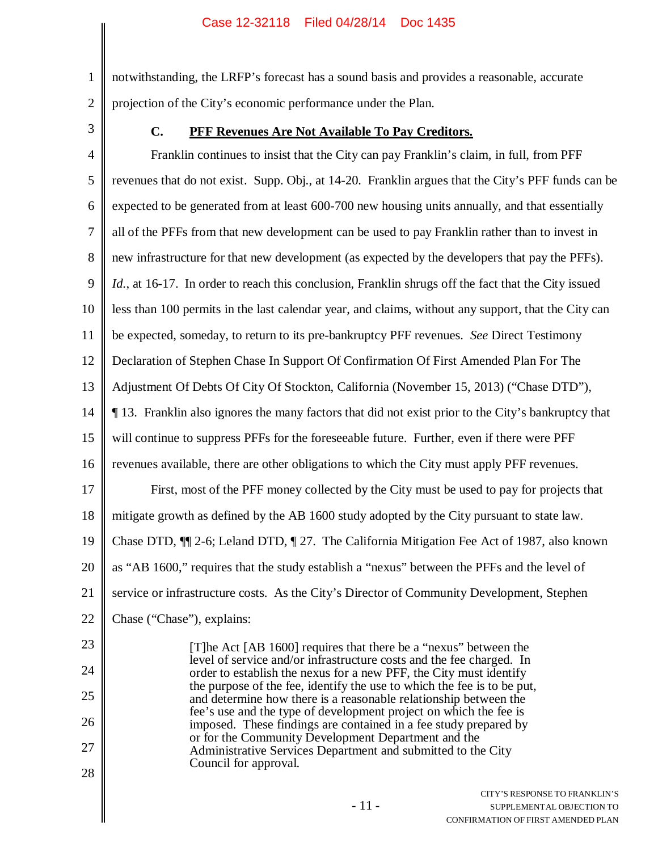1 2 notwithstanding, the LRFP's forecast has a sound basis and provides a reasonable, accurate projection of the City's economic performance under the Plan.

3

27

28

#### **C. PFF Revenues Are Not Available To Pay Creditors.**

4 5 6 7 8 9 10 11 12 13 14 15 16 17 18 19 20 21 22 23 24 25 26 Franklin continues to insist that the City can pay Franklin's claim, in full, from PFF revenues that do not exist. Supp. Obj., at 14-20. Franklin argues that the City's PFF funds can be expected to be generated from at least 600-700 new housing units annually, and that essentially all of the PFFs from that new development can be used to pay Franklin rather than to invest in new infrastructure for that new development (as expected by the developers that pay the PFFs). Id., at 16-17. In order to reach this conclusion, Franklin shrugs off the fact that the City issued less than 100 permits in the last calendar year, and claims, without any support, that the City can be expected, someday, to return to its pre-bankruptcy PFF revenues. *See* Direct Testimony Declaration of Stephen Chase In Support Of Confirmation Of First Amended Plan For The Adjustment Of Debts Of City Of Stockton, California (November 15, 2013) ("Chase DTD"), ¶ 13. Franklin also ignores the many factors that did not exist prior to the City's bankruptcy that will continue to suppress PFFs for the foreseeable future. Further, even if there were PFF revenues available, there are other obligations to which the City must apply PFF revenues. First, most of the PFF money collected by the City must be used to pay for projects that mitigate growth as defined by the AB 1600 study adopted by the City pursuant to state law. Chase DTD, ¶¶ 2-6; Leland DTD, ¶ 27. The California Mitigation Fee Act of 1987, also known as "AB 1600," requires that the study establish a "nexus" between the PFFs and the level of service or infrastructure costs. As the City's Director of Community Development, Stephen Chase ("Chase"), explains: [T]he Act [AB 1600] requires that there be a "nexus" between the level of service and/or infrastructure costs and the fee charged. In order to establish the nexus for a new PFF, the City must identify the purpose of the fee, identify the use to which the fee is to be put, and determine how there is a reasonable relationship between the fee's use and the type of development project on which the fee is imposed. These findings are contained in a fee study prepared by or for the Community Development Department and the

Administrative Services Department and submitted to the City Council for approval.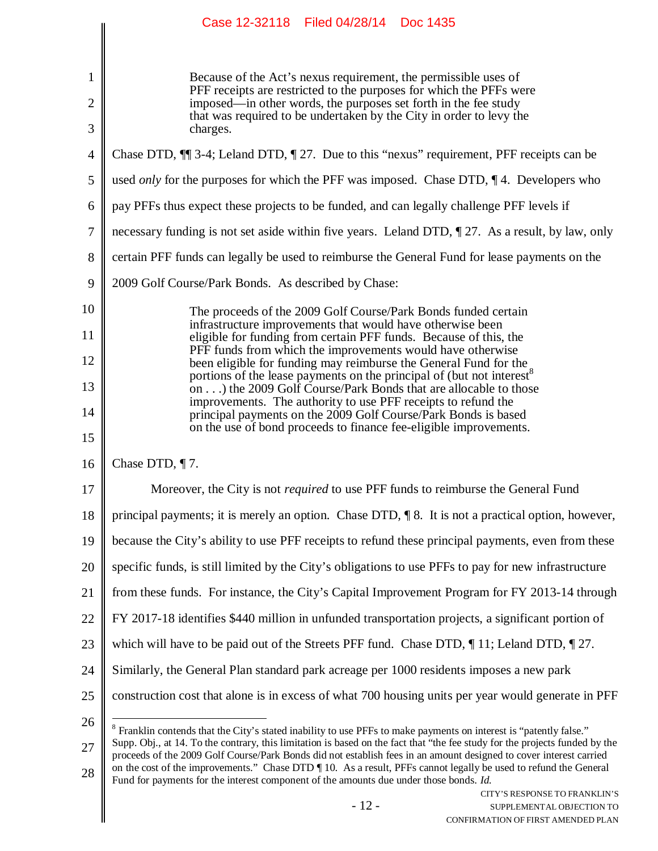|                | Case 12-32118 Filed 04/28/14 Doc 1435                                                                                                                                                                                                             |
|----------------|---------------------------------------------------------------------------------------------------------------------------------------------------------------------------------------------------------------------------------------------------|
| $\mathbf{1}$   | Because of the Act's nexus requirement, the permissible uses of                                                                                                                                                                                   |
| $\mathbf{2}$   | PFF receipts are restricted to the purposes for which the PFFs were<br>imposed—in other words, the purposes set forth in the fee study                                                                                                            |
| 3              | that was required to be undertaken by the City in order to levy the<br>charges.                                                                                                                                                                   |
| $\overline{4}$ | Chase DTD, $\P$ 3-4; Leland DTD, $\P$ 27. Due to this "nexus" requirement, PFF receipts can be                                                                                                                                                    |
| 5              | used <i>only</i> for the purposes for which the PFF was imposed. Chase DTD, $\P$ 4. Developers who                                                                                                                                                |
| 6              | pay PFFs thus expect these projects to be funded, and can legally challenge PFF levels if                                                                                                                                                         |
| 7              | necessary funding is not set aside within five years. Leland DTD, 1 27. As a result, by law, only                                                                                                                                                 |
| 8              | certain PFF funds can legally be used to reimburse the General Fund for lease payments on the                                                                                                                                                     |
| 9              | 2009 Golf Course/Park Bonds. As described by Chase:                                                                                                                                                                                               |
| 10             | The proceeds of the 2009 Golf Course/Park Bonds funded certain                                                                                                                                                                                    |
| 11             | infrastructure improvements that would have otherwise been<br>eligible for funding from certain PFF funds. Because of this, the                                                                                                                   |
| 12             | PFF funds from which the improvements would have otherwise<br>been eligible for funding may reimburse the General Fund for the                                                                                                                    |
| 13             | portions of the lease payments on the principal of (but not interest <sup>8</sup><br>on) the 2009 Golf Course/Park Bonds that are allocable to those                                                                                              |
| 14             | improvements. The authority to use PFF receipts to refund the<br>principal payments on the 2009 Golf Course/Park Bonds is based                                                                                                                   |
| 15             | on the use of bond proceeds to finance fee-eligible improvements.                                                                                                                                                                                 |
| 16             | Chase DTD, ¶7.                                                                                                                                                                                                                                    |
| 17             | Moreover, the City is not <i>required</i> to use PFF funds to reimburse the General Fund                                                                                                                                                          |
| 18             | principal payments; it is merely an option. Chase DTD, ¶ 8. It is not a practical option, however,                                                                                                                                                |
| 19             | because the City's ability to use PFF receipts to refund these principal payments, even from these                                                                                                                                                |
| 20             | specific funds, is still limited by the City's obligations to use PFFs to pay for new infrastructure                                                                                                                                              |
| 21             | from these funds. For instance, the City's Capital Improvement Program for FY 2013-14 through                                                                                                                                                     |
| 22             | FY 2017-18 identifies \$440 million in unfunded transportation projects, a significant portion of                                                                                                                                                 |
| 23             | which will have to be paid out of the Streets PFF fund. Chase DTD, $\P$ 11; Leland DTD, $\P$ 27.                                                                                                                                                  |
| 24             | Similarly, the General Plan standard park acreage per 1000 residents imposes a new park                                                                                                                                                           |
| 25             | construction cost that alone is in excess of what 700 housing units per year would generate in PFF                                                                                                                                                |
| 26             | <sup>8</sup> Franklin contends that the City's stated inability to use PFFs to make payments on interest is "patently false."                                                                                                                     |
| 27             | Supp. Obj., at 14. To the contrary, this limitation is based on the fact that "the fee study for the projects funded by the<br>proceeds of the 2009 Golf Course/Park Bonds did not establish fees in an amount designed to cover interest carried |
| 28             | on the cost of the improvements." Chase DTD 10. As a result, PFFs cannot legally be used to refund the General<br>Fund for payments for the interest component of the amounts due under those bonds. Id.                                          |
|                | CITY'S RESPONSE TO FRANKLIN'S<br>$-12-$<br>SUPPLEMENTAL OBJECTION TO<br>CONFIRMATION OF FIRST AMENDED PLAN                                                                                                                                        |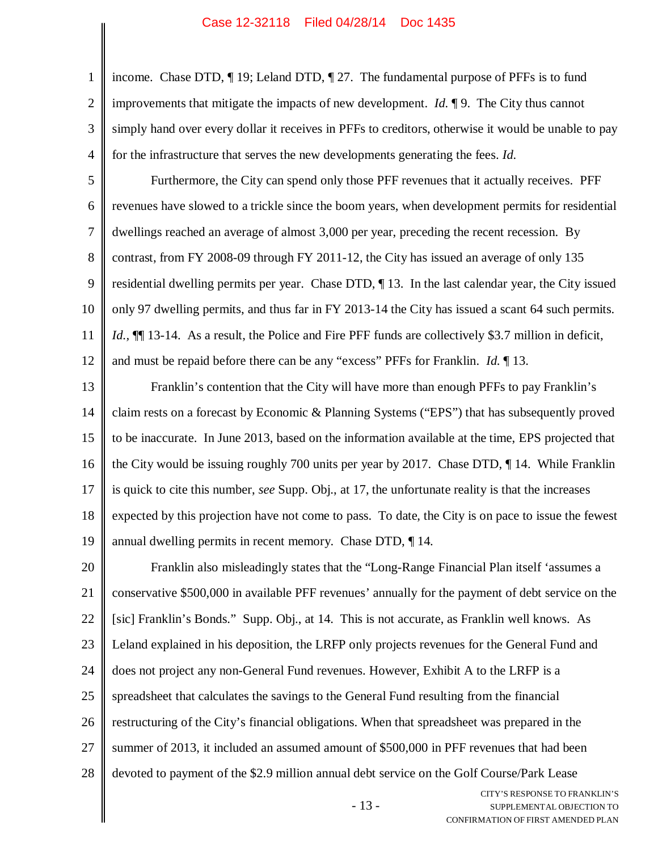1 2 3 4 income. Chase DTD, ¶ 19; Leland DTD, ¶ 27. The fundamental purpose of PFFs is to fund improvements that mitigate the impacts of new development. *Id.* ¶ 9. The City thus cannot simply hand over every dollar it receives in PFFs to creditors, otherwise it would be unable to pay for the infrastructure that serves the new developments generating the fees. *Id.*

5 6 7 8 9 10 11 12 Furthermore, the City can spend only those PFF revenues that it actually receives. PFF revenues have slowed to a trickle since the boom years, when development permits for residential dwellings reached an average of almost 3,000 per year, preceding the recent recession. By contrast, from FY 2008-09 through FY 2011-12, the City has issued an average of only 135 residential dwelling permits per year. Chase DTD, ¶ 13. In the last calendar year, the City issued only 97 dwelling permits, and thus far in FY 2013-14 the City has issued a scant 64 such permits. *Id.*, **[10** 13-14. As a result, the Police and Fire PFF funds are collectively \$3.7 million in deficit, and must be repaid before there can be any "excess" PFFs for Franklin. *Id.* ¶ 13.

13 14 15 16 17 18 19 Franklin's contention that the City will have more than enough PFFs to pay Franklin's claim rests on a forecast by Economic & Planning Systems ("EPS") that has subsequently proved to be inaccurate. In June 2013, based on the information available at the time, EPS projected that the City would be issuing roughly 700 units per year by 2017. Chase DTD, ¶ 14. While Franklin is quick to cite this number, *see* Supp. Obj., at 17, the unfortunate reality is that the increases expected by this projection have not come to pass. To date, the City is on pace to issue the fewest annual dwelling permits in recent memory. Chase DTD, ¶ 14.

20 21 22 23 24 25 26 27 28 Franklin also misleadingly states that the "Long-Range Financial Plan itself 'assumes a conservative \$500,000 in available PFF revenues' annually for the payment of debt service on the [sic] Franklin's Bonds." Supp. Obj., at 14. This is not accurate, as Franklin well knows. As Leland explained in his deposition, the LRFP only projects revenues for the General Fund and does not project any non-General Fund revenues. However, Exhibit A to the LRFP is a spreadsheet that calculates the savings to the General Fund resulting from the financial restructuring of the City's financial obligations. When that spreadsheet was prepared in the summer of 2013, it included an assumed amount of \$500,000 in PFF revenues that had been devoted to payment of the \$2.9 million annual debt service on the Golf Course/Park Lease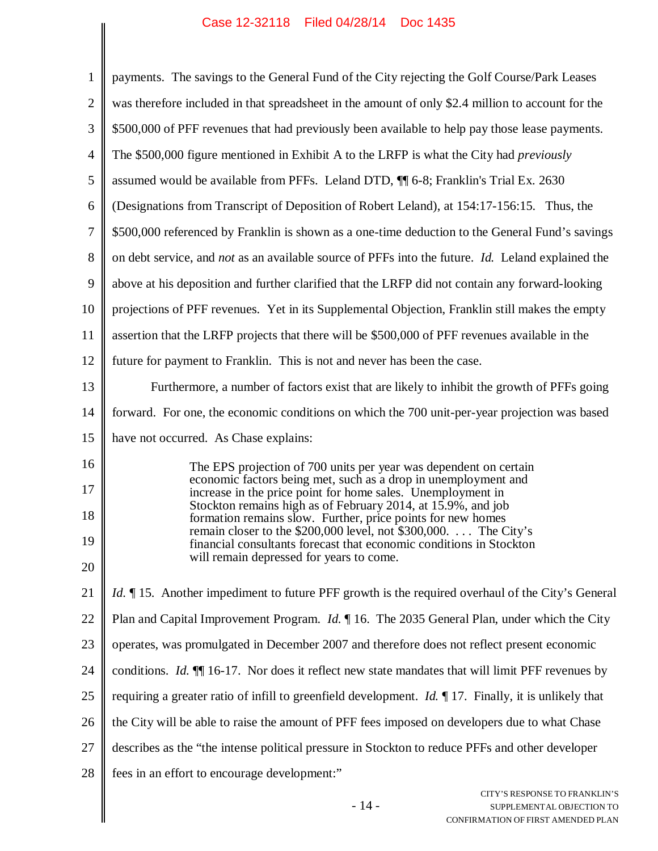$\parallel$ 

| $\mathbf{1}$   | payments. The savings to the General Fund of the City rejecting the Golf Course/Park Leases                                             |
|----------------|-----------------------------------------------------------------------------------------------------------------------------------------|
| $\overline{2}$ | was therefore included in that spreadsheet in the amount of only \$2.4 million to account for the                                       |
| 3              | \$500,000 of PFF revenues that had previously been available to help pay those lease payments.                                          |
| $\overline{4}$ | The \$500,000 figure mentioned in Exhibit A to the LRFP is what the City had <i>previously</i>                                          |
| 5              | assumed would be available from PFFs. Leland DTD, $\P$ 6-8; Franklin's Trial Ex. 2630                                                   |
| 6              | (Designations from Transcript of Deposition of Robert Leland), at 154:17-156:15. Thus, the                                              |
| $\overline{7}$ | \$500,000 referenced by Franklin is shown as a one-time deduction to the General Fund's savings                                         |
| 8              | on debt service, and <i>not</i> as an available source of PFFs into the future. <i>Id.</i> Leland explained the                         |
| 9              | above at his deposition and further clarified that the LRFP did not contain any forward-looking                                         |
| 10             | projections of PFF revenues. Yet in its Supplemental Objection, Franklin still makes the empty                                          |
| 11             | assertion that the LRFP projects that there will be \$500,000 of PFF revenues available in the                                          |
| 12             | future for payment to Franklin. This is not and never has been the case.                                                                |
| 13             | Furthermore, a number of factors exist that are likely to inhibit the growth of PFFs going                                              |
| 14             | forward. For one, the economic conditions on which the 700 unit-per-year projection was based                                           |
| 15             | have not occurred. As Chase explains:                                                                                                   |
| 16             | The EPS projection of 700 units per year was dependent on certain                                                                       |
| 17             | economic factors being met, such as a drop in unemployment and<br>increase in the price point for home sales. Unemployment in           |
| 18             | Stockton remains high as of February 2014, at 15.9%, and job<br>formation remains slow. Further, price points for new homes             |
| 19             | remain closer to the \$200,000 level, not \$300,000.  The City's<br>financial consultants forecast that economic conditions in Stockton |
| 20             | will remain depressed for years to come.                                                                                                |
| 21             | <i>Id.</i> 15. Another impediment to future PFF growth is the required overhaul of the City's General                                   |
| 22             | Plan and Capital Improvement Program. <i>Id.</i> $\parallel$ 16. The 2035 General Plan, under which the City                            |
| 23             | operates, was promulgated in December 2007 and therefore does not reflect present economic                                              |
| 24             | conditions. <i>Id.</i> $\P$ 16-17. Nor does it reflect new state mandates that will limit PFF revenues by                               |
| 25             | requiring a greater ratio of infill to greenfield development. <i>Id.</i> $\parallel$ 17. Finally, it is unlikely that                  |
| 26             | the City will be able to raise the amount of PFF fees imposed on developers due to what Chase                                           |
| 27             | describes as the "the intense political pressure in Stockton to reduce PFFs and other developer                                         |
| 28             | fees in an effort to encourage development:"                                                                                            |
|                | CITY'S RESPONSE TO FRANKLIN'S<br>$-14-$<br>SUPPLEMENTAL OBJECTION TO<br>CONFIRM ATION OF FIRST AMENDED PLAN                             |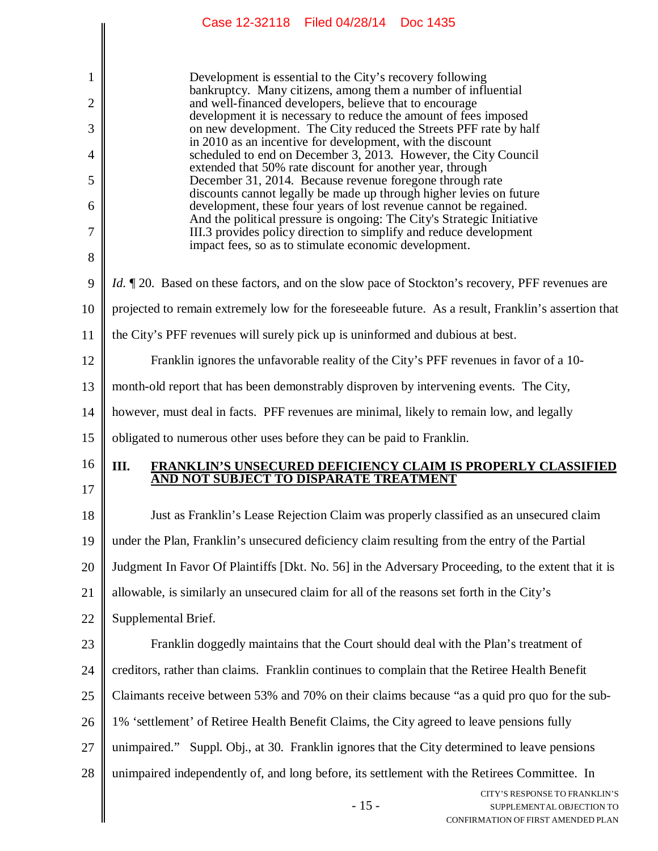|    | CASE IZ-OZIIO – FIIEU 04/Z0/I4 – DUC 1400                                                                                                                                               |
|----|-----------------------------------------------------------------------------------------------------------------------------------------------------------------------------------------|
|    |                                                                                                                                                                                         |
| 1  | Development is essential to the City's recovery following<br>bankruptcy. Many citizens, among them a number of influential                                                              |
| 2  | and well-financed developers, believe that to encourage<br>development it is necessary to reduce the amount of fees imposed                                                             |
| 3  | on new development. The City reduced the Streets PFF rate by half<br>in 2010 as an incentive for development, with the discount                                                         |
| 4  | scheduled to end on December 3, 2013. However, the City Council<br>extended that 50% rate discount for another year, through                                                            |
| 5  | December 31, 2014. Because revenue foregone through rate<br>discounts cannot legally be made up through higher levies on future                                                         |
| 6  | development, these four years of lost revenue cannot be regained.<br>And the political pressure is ongoing: The City's Strategic Initiative                                             |
| 7  | III.3 provides policy direction to simplify and reduce development<br>impact fees, so as to stimulate economic development.                                                             |
| 8  |                                                                                                                                                                                         |
| 9  | <i>Id.</i> ¶ 20. Based on these factors, and on the slow pace of Stockton's recovery, PFF revenues are                                                                                  |
| 10 | projected to remain extremely low for the foreseeable future. As a result, Franklin's assertion that                                                                                    |
| 11 | the City's PFF revenues will surely pick up is uninformed and dubious at best.                                                                                                          |
| 12 | Franklin ignores the unfavorable reality of the City's PFF revenues in favor of a 10-                                                                                                   |
| 13 | month-old report that has been demonstrably disproven by intervening events. The City,                                                                                                  |
| 14 | however, must deal in facts. PFF revenues are minimal, likely to remain low, and legally                                                                                                |
| 15 | obligated to numerous other uses before they can be paid to Franklin.                                                                                                                   |
| 16 | Ш.<br><b>FRANKLIN'S UNSECURED DEFICIENCY CLAIM IS PROPERLY CLASSIFIED</b><br>AND NOT SUBJECT TO DISPARATE TREATMENT                                                                     |
| 17 |                                                                                                                                                                                         |
| 18 | Just as Franklin's Lease Rejection Claim was properly classified as an unsecured claim<br>under the Plan, Franklin's unsecured deficiency claim resulting from the entry of the Partial |
| 19 |                                                                                                                                                                                         |
| 20 | Judgment In Favor Of Plaintiffs [Dkt. No. 56] in the Adversary Proceeding, to the extent that it is                                                                                     |
| 21 | allowable, is similarly an unsecured claim for all of the reasons set forth in the City's                                                                                               |
| 22 | Supplemental Brief.                                                                                                                                                                     |
| 23 | Franklin doggedly maintains that the Court should deal with the Plan's treatment of                                                                                                     |
| 24 | creditors, rather than claims. Franklin continues to complain that the Retiree Health Benefit                                                                                           |
| 25 | Claimants receive between 53% and 70% on their claims because "as a quid pro quo for the sub-                                                                                           |
| 26 | 1% 'settlement' of Retiree Health Benefit Claims, the City agreed to leave pensions fully                                                                                               |
| 27 | unimpaired." Suppl. Obj., at 30. Franklin ignores that the City determined to leave pensions                                                                                            |
| 28 | unimpaired independently of, and long before, its settlement with the Retirees Committee. In<br>CITY'S RESPONSE TO FRANKLIN'S                                                           |
|    | $-15-$<br>SUPPLEMENTAL OBJECTION TO<br>CONFIRMATION OF FIRST AMENDED PLAN                                                                                                               |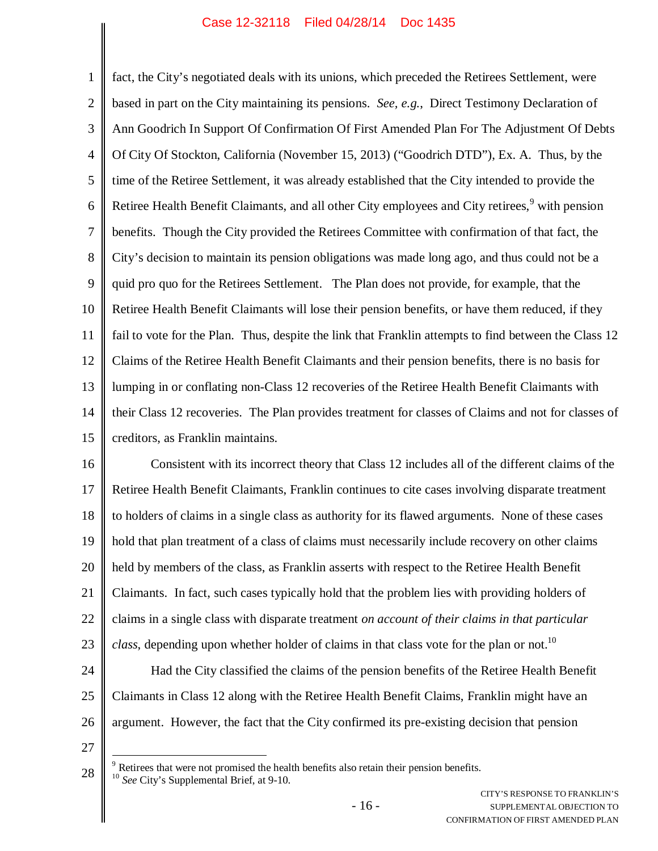1 2 3 4 5 6 7 8 9 10 11 12 13 14 15 fact, the City's negotiated deals with its unions, which preceded the Retirees Settlement, were based in part on the City maintaining its pensions. *See, e.g.*, Direct Testimony Declaration of Ann Goodrich In Support Of Confirmation Of First Amended Plan For The Adjustment Of Debts Of City Of Stockton, California (November 15, 2013) ("Goodrich DTD"), Ex. A. Thus, by the time of the Retiree Settlement, it was already established that the City intended to provide the Retiree Health Benefit Claimants, and all other City employees and City retirees,<sup>9</sup> with pension benefits. Though the City provided the Retirees Committee with confirmation of that fact, the City's decision to maintain its pension obligations was made long ago, and thus could not be a quid pro quo for the Retirees Settlement. The Plan does not provide, for example, that the Retiree Health Benefit Claimants will lose their pension benefits, or have them reduced, if they fail to vote for the Plan. Thus, despite the link that Franklin attempts to find between the Class 12 Claims of the Retiree Health Benefit Claimants and their pension benefits, there is no basis for lumping in or conflating non-Class 12 recoveries of the Retiree Health Benefit Claimants with their Class 12 recoveries. The Plan provides treatment for classes of Claims and not for classes of creditors, as Franklin maintains.

16 17 18 19 20 21 22 23 24 25 26 Consistent with its incorrect theory that Class 12 includes all of the different claims of the Retiree Health Benefit Claimants, Franklin continues to cite cases involving disparate treatment to holders of claims in a single class as authority for its flawed arguments. None of these cases hold that plan treatment of a class of claims must necessarily include recovery on other claims held by members of the class, as Franklin asserts with respect to the Retiree Health Benefit Claimants. In fact, such cases typically hold that the problem lies with providing holders of claims in a single class with disparate treatment *on account of their claims in that particular class*, depending upon whether holder of claims in that class vote for the plan or not.<sup>10</sup> Had the City classified the claims of the pension benefits of the Retiree Health Benefit Claimants in Class 12 along with the Retiree Health Benefit Claims, Franklin might have an argument. However, the fact that the City confirmed its pre-existing decision that pension

<sup>28</sup>  $9<sup>9</sup>$  Retirees that were not promised the health benefits also retain their pension benefits. <sup>10</sup> *See* City's Supplemental Brief, at 9-10.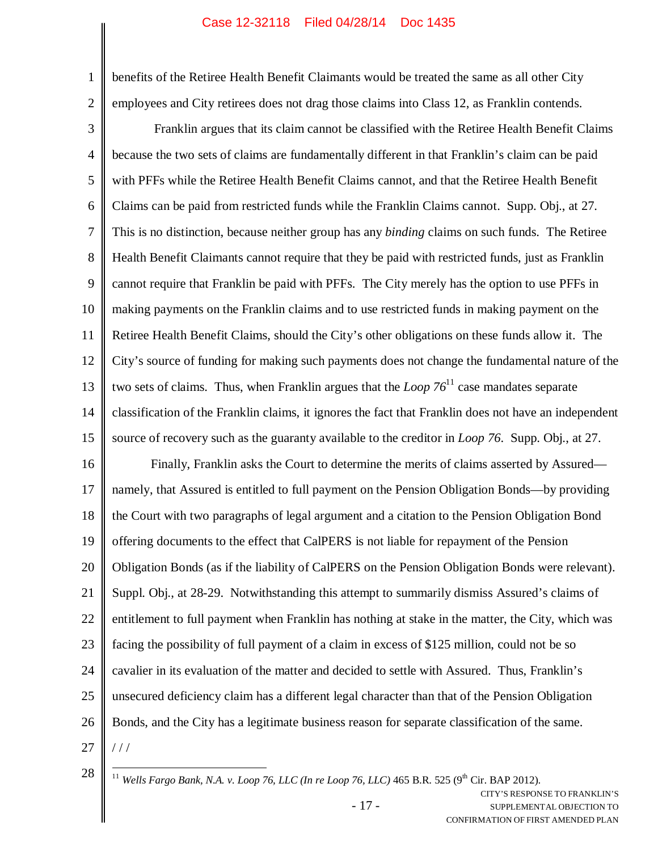benefits of the Retiree Health Benefit Claimants would be treated the same as all other City employees and City retirees does not drag those claims into Class 12, as Franklin contends.

3 4 5 6 7 8 9 10 11 12 13 14 15 Franklin argues that its claim cannot be classified with the Retiree Health Benefit Claims because the two sets of claims are fundamentally different in that Franklin's claim can be paid with PFFs while the Retiree Health Benefit Claims cannot, and that the Retiree Health Benefit Claims can be paid from restricted funds while the Franklin Claims cannot. Supp. Obj., at 27. This is no distinction, because neither group has any *binding* claims on such funds. The Retiree Health Benefit Claimants cannot require that they be paid with restricted funds, just as Franklin cannot require that Franklin be paid with PFFs. The City merely has the option to use PFFs in making payments on the Franklin claims and to use restricted funds in making payment on the Retiree Health Benefit Claims, should the City's other obligations on these funds allow it. The City's source of funding for making such payments does not change the fundamental nature of the two sets of claims. Thus, when Franklin argues that the *Loop*  $76<sup>11</sup>$  case mandates separate classification of the Franklin claims, it ignores the fact that Franklin does not have an independent source of recovery such as the guaranty available to the creditor in *Loop 76*. Supp. Obj., at 27.

16 17 18 19 20 21 22 23 24 25 26 27 Finally, Franklin asks the Court to determine the merits of claims asserted by Assured namely, that Assured is entitled to full payment on the Pension Obligation Bonds—by providing the Court with two paragraphs of legal argument and a citation to the Pension Obligation Bond offering documents to the effect that CalPERS is not liable for repayment of the Pension Obligation Bonds (as if the liability of CalPERS on the Pension Obligation Bonds were relevant). Suppl. Obj., at 28-29. Notwithstanding this attempt to summarily dismiss Assured's claims of entitlement to full payment when Franklin has nothing at stake in the matter, the City, which was facing the possibility of full payment of a claim in excess of \$125 million, could not be so cavalier in its evaluation of the matter and decided to settle with Assured. Thus, Franklin's unsecured deficiency claim has a different legal character than that of the Pension Obligation Bonds, and the City has a legitimate business reason for separate classification of the same.  $111$ 

1

2

- 17 -

<sup>28</sup>

<sup>&</sup>lt;sup>11</sup> *Wells Fargo Bank, N.A. v. Loop 76, LLC (In re Loop 76, LLC)* 465 B.R. 525 (9<sup>th</sup> Cir. BAP 2012).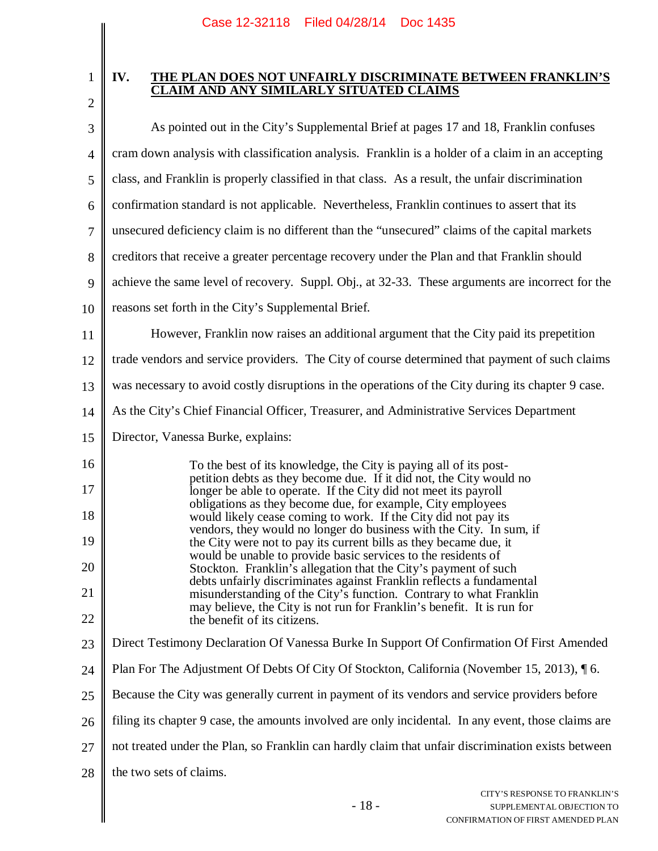1

2

#### **IV. THE PLAN DOES NOT UNFAIRLY DISCRIMINATE BETWEEN FRANKLIN'S CLAIM AND ANY SIMILARLY SITUATED CLAIMS**

| 3              | As pointed out in the City's Supplemental Brief at pages 17 and 18, Franklin confuses                                                      |
|----------------|--------------------------------------------------------------------------------------------------------------------------------------------|
| $\overline{4}$ | cram down analysis with classification analysis. Franklin is a holder of a claim in an accepting                                           |
| 5              | class, and Franklin is properly classified in that class. As a result, the unfair discrimination                                           |
| 6              | confirmation standard is not applicable. Nevertheless, Franklin continues to assert that its                                               |
| $\tau$         | unsecured deficiency claim is no different than the "unsecured" claims of the capital markets                                              |
| 8              | creditors that receive a greater percentage recovery under the Plan and that Franklin should                                               |
| 9              | achieve the same level of recovery. Suppl. Obj., at 32-33. These arguments are incorrect for the                                           |
| 10             | reasons set forth in the City's Supplemental Brief.                                                                                        |
| 11             | However, Franklin now raises an additional argument that the City paid its prepetition                                                     |
| 12             | trade vendors and service providers. The City of course determined that payment of such claims                                             |
| 13             | was necessary to avoid costly disruptions in the operations of the City during its chapter 9 case.                                         |
| 14             | As the City's Chief Financial Officer, Treasurer, and Administrative Services Department                                                   |
| 15             | Director, Vanessa Burke, explains:                                                                                                         |
| 16             | To the best of its knowledge, the City is paying all of its post-                                                                          |
| 17             | petition debts as they become due. If it did not, the City would no<br>longer be able to operate. If the City did not meet its payroll     |
| 18             | obligations as they become due, for example, City employees<br>would likely cease coming to work. If the City did not pay its              |
| 19             | vendors, they would no longer do business with the City. In sum, if<br>the City were not to pay its current bills as they became due, it   |
| 20             | would be unable to provide basic services to the residents of<br>Stockton. Franklin's allegation that the City's payment of such           |
| 21             | debts unfairly discriminates against Franklin reflects a fundamental<br>misunderstanding of the City's function. Contrary to what Franklin |
| 22             | may believe, the City is not run for Franklin's benefit. It is run for<br>the benefit of its citizens.                                     |
| 23             | Direct Testimony Declaration Of Vanessa Burke In Support Of Confirmation Of First Amended                                                  |
| 24             | Plan For The Adjustment Of Debts Of City Of Stockton, California (November 15, 2013), 16.                                                  |
| 25             | Because the City was generally current in payment of its vendors and service providers before                                              |
| 26             | filing its chapter 9 case, the amounts involved are only incidental. In any event, those claims are                                        |
| 27             | not treated under the Plan, so Franklin can hardly claim that unfair discrimination exists between                                         |
| 28             | the two sets of claims.                                                                                                                    |
|                | CITY'S RESPONSE TO FRANKLIN'S<br>$-18-$<br>SUPPLEMENTAL OBJECTION TO<br>CONFIRMATION OF FIRST AMENDED PLAN                                 |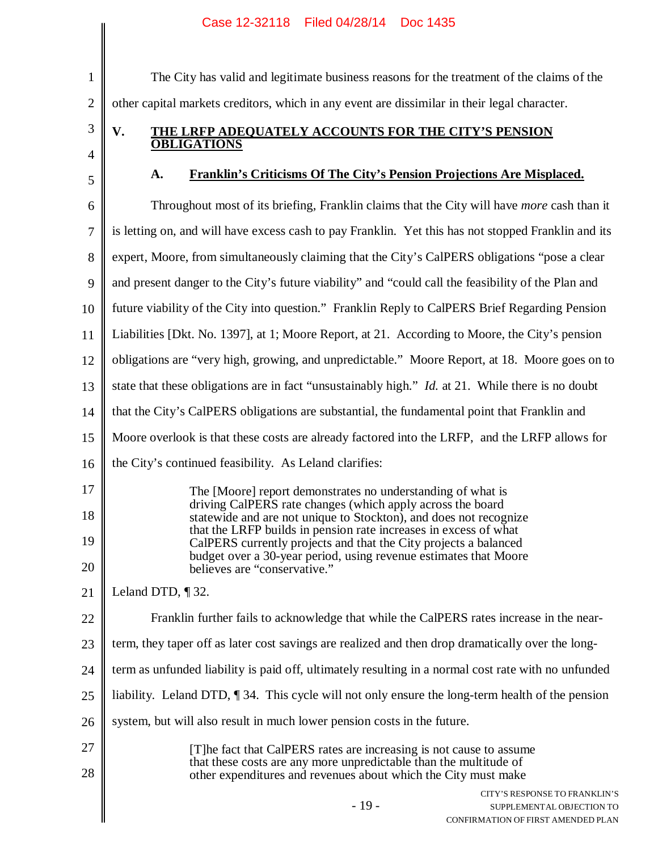#### CITY'S RESPONSE TO FRANKLIN'S 1 2 3 4 5 6 7 8 9 10 11 12 13 14 15 16 17 18 19 20 21 22 23 24 25 26 27 28 The City has valid and legitimate business reasons for the treatment of the claims of the other capital markets creditors, which in any event are dissimilar in their legal character. **V. THE LRFP ADEQUATELY ACCOUNTS FOR THE CITY'S PENSION OBLIGATIONS A. Franklin's Criticisms Of The City's Pension Projections Are Misplaced.** Throughout most of its briefing, Franklin claims that the City will have *more* cash than it is letting on, and will have excess cash to pay Franklin. Yet this has not stopped Franklin and its expert, Moore, from simultaneously claiming that the City's CalPERS obligations "pose a clear and present danger to the City's future viability" and "could call the feasibility of the Plan and future viability of the City into question." Franklin Reply to CalPERS Brief Regarding Pension Liabilities [Dkt. No. 1397], at 1; Moore Report, at 21. According to Moore, the City's pension obligations are "very high, growing, and unpredictable." Moore Report, at 18. Moore goes on to state that these obligations are in fact "unsustainably high." *Id.* at 21. While there is no doubt that the City's CalPERS obligations are substantial, the fundamental point that Franklin and Moore overlook is that these costs are already factored into the LRFP, and the LRFP allows for the City's continued feasibility. As Leland clarifies: The [Moore] report demonstrates no understanding of what is driving CalPERS rate changes (which apply across the board statewide and are not unique to Stockton), and does not recognize that the LRFP builds in pension rate increases in excess of what CalPERS currently projects and that the City projects a balanced budget over a 30-year period, using revenue estimates that Moore believes are "conservative." Leland DTD, ¶ 32. Franklin further fails to acknowledge that while the CalPERS rates increase in the nearterm, they taper off as later cost savings are realized and then drop dramatically over the longterm as unfunded liability is paid off, ultimately resulting in a normal cost rate with no unfunded liability. Leland DTD, ¶ 34. This cycle will not only ensure the long-term health of the pension system, but will also result in much lower pension costs in the future. [T]he fact that CalPERS rates are increasing is not cause to assume that these costs are any more unpredictable than the multitude of other expenditures and revenues about which the City must make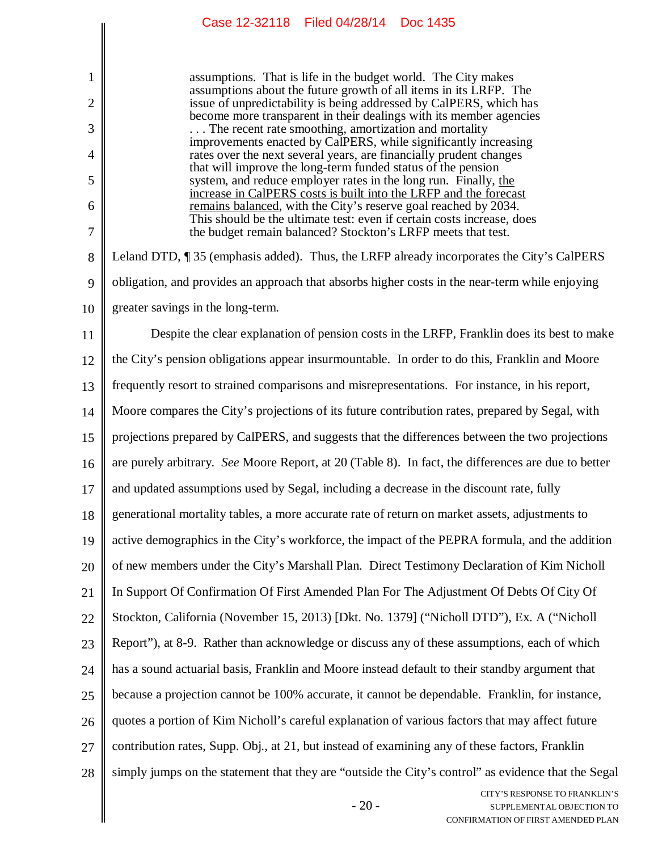|                | Case 12-32118 Filed 04/28/14 Doc 1435                                                                                                     |
|----------------|-------------------------------------------------------------------------------------------------------------------------------------------|
|                |                                                                                                                                           |
| 1              | assumptions. That is life in the budget world. The City makes<br>assumptions about the future growth of all items in its LRFP. The        |
| $\overline{2}$ | issue of unpredictability is being addressed by CalPERS, which has<br>become more transparent in their dealings with its member agencies  |
| 3              | The recent rate smoothing, amortization and mortality<br>improvements enacted by CalPERS, while significantly increasing                  |
| 4              | rates over the next several years, are financially prudent changes<br>that will improve the long-term funded status of the pension        |
| 5              | system, and reduce employer rates in the long run. Finally, the<br>increase in CalPERS costs is built into the LRFP and the forecast      |
| 6              | remains balanced, with the City's reserve goal reached by 2034.<br>This should be the ultimate test: even if certain costs increase, does |
| 7              | the budget remain balanced? Stockton's LRFP meets that test.                                                                              |
| 8              | Leland DTD, ¶35 (emphasis added). Thus, the LRFP already incorporates the City's CalPERS                                                  |
| 9              | obligation, and provides an approach that absorbs higher costs in the near-term while enjoying                                            |
| 10             | greater savings in the long-term.                                                                                                         |
| 11             | Despite the clear explanation of pension costs in the LRFP, Franklin does its best to make                                                |
| 12             | the City's pension obligations appear insurmountable. In order to do this, Franklin and Moore                                             |
| 13             | frequently resort to strained comparisons and misrepresentations. For instance, in his report,                                            |
| 14             | Moore compares the City's projections of its future contribution rates, prepared by Segal, with                                           |
| 15             | projections prepared by CalPERS, and suggests that the differences between the two projections                                            |
| 16             | are purely arbitrary. See Moore Report, at 20 (Table 8). In fact, the differences are due to better                                       |
| 17             | and updated assumptions used by Segal, including a decrease in the discount rate, fully                                                   |
| 18             | generational mortality tables, a more accurate rate of return on market assets, adjustments to                                            |
| 19             | active demographics in the City's workforce, the impact of the PEPRA formula, and the addition                                            |
| 20             | of new members under the City's Marshall Plan. Direct Testimony Declaration of Kim Nicholl                                                |
| 21             | In Support Of Confirmation Of First Amended Plan For The Adjustment Of Debts Of City Of                                                   |
| 22             | Stockton, California (November 15, 2013) [Dkt. No. 1379] ("Nicholl DTD"), Ex. A ("Nicholl                                                 |

23 Report"), at 8-9. Rather than acknowledge or discuss any of these assumptions, each of which has a sound actuarial basis, Franklin and Moore instead default to their standby argument that

24 25 because a projection cannot be 100% accurate, it cannot be dependable. Franklin, for instance,

26 quotes a portion of Kim Nicholl's careful explanation of various factors that may affect future

27 contribution rates, Supp. Obj., at 21, but instead of examining any of these factors, Franklin

28 simply jumps on the statement that they are "outside the City's control" as evidence that the Segal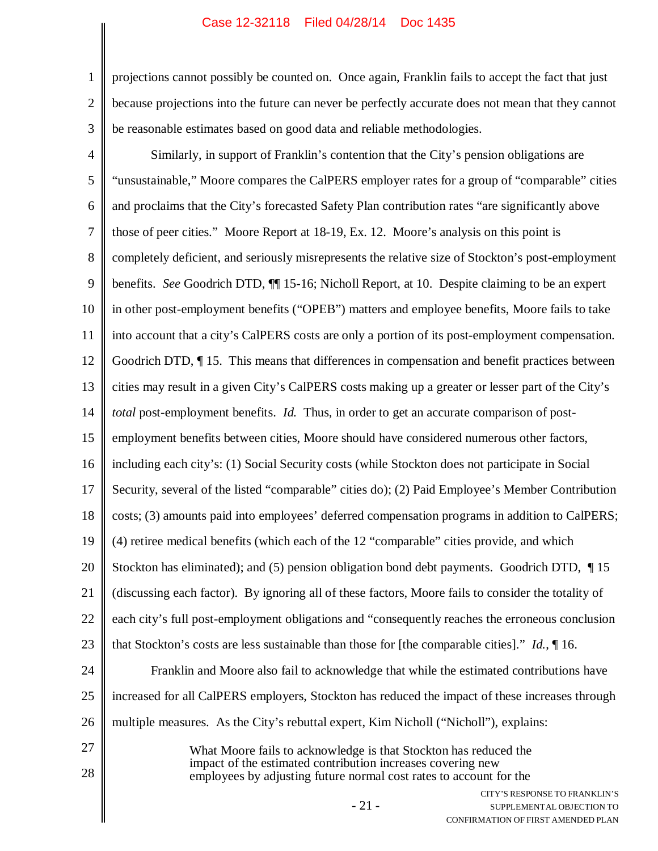1 2 3 projections cannot possibly be counted on. Once again, Franklin fails to accept the fact that just because projections into the future can never be perfectly accurate does not mean that they cannot be reasonable estimates based on good data and reliable methodologies.

CITY'S RESPONSE TO FRANKLIN'S 4 5 6 7 8 9 10 11 12 13 14 15 16 17 18 19 20 21 22 23 24 25 26 27 28 Similarly, in support of Franklin's contention that the City's pension obligations are "unsustainable," Moore compares the CalPERS employer rates for a group of "comparable" cities and proclaims that the City's forecasted Safety Plan contribution rates "are significantly above those of peer cities." Moore Report at 18-19, Ex. 12. Moore's analysis on this point is completely deficient, and seriously misrepresents the relative size of Stockton's post-employment benefits. *See* Goodrich DTD, ¶¶ 15-16; Nicholl Report, at 10. Despite claiming to be an expert in other post-employment benefits ("OPEB") matters and employee benefits, Moore fails to take into account that a city's CalPERS costs are only a portion of its post-employment compensation. Goodrich DTD, ¶ 15. This means that differences in compensation and benefit practices between cities may result in a given City's CalPERS costs making up a greater or lesser part of the City's *total* post-employment benefits. *Id.* Thus, in order to get an accurate comparison of postemployment benefits between cities, Moore should have considered numerous other factors, including each city's: (1) Social Security costs (while Stockton does not participate in Social Security, several of the listed "comparable" cities do); (2) Paid Employee's Member Contribution costs; (3) amounts paid into employees' deferred compensation programs in addition to CalPERS; (4) retiree medical benefits (which each of the 12 "comparable" cities provide, and which Stockton has eliminated); and (5) pension obligation bond debt payments. Goodrich DTD, 15 (discussing each factor). By ignoring all of these factors, Moore fails to consider the totality of each city's full post-employment obligations and "consequently reaches the erroneous conclusion that Stockton's costs are less sustainable than those for [the comparable cities]." *Id.*, ¶ 16. Franklin and Moore also fail to acknowledge that while the estimated contributions have increased for all CalPERS employers, Stockton has reduced the impact of these increases through multiple measures. As the City's rebuttal expert, Kim Nicholl ("Nicholl"), explains: What Moore fails to acknowledge is that Stockton has reduced the impact of the estimated contribution increases covering new employees by adjusting future normal cost rates to account for the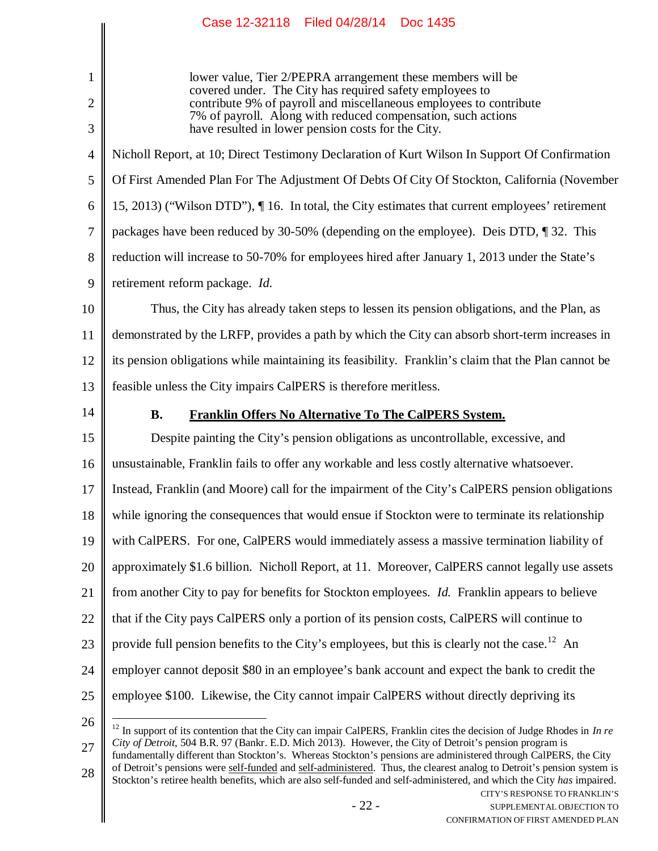CITY'S RESPONSE TO FRANKLIN'S 1 2 3 4 5 6 7 8 9 10 11 12 13 14 15 16 17 18 19 20 21 22 23 24 25 26 27 28 lower value, Tier 2/PEPRA arrangement these members will be covered under. The City has required safety employees to contribute 9% of payroll and miscellaneous employees to contribute 7% of payroll. Along with reduced compensation, such actions have resulted in lower pension costs for the City. Nicholl Report, at 10; Direct Testimony Declaration of Kurt Wilson In Support Of Confirmation Of First Amended Plan For The Adjustment Of Debts Of City Of Stockton, California (November 15, 2013) ("Wilson DTD"), ¶ 16. In total, the City estimates that current employees' retirement packages have been reduced by 30-50% (depending on the employee). Deis DTD, ¶ 32. This reduction will increase to 50-70% for employees hired after January 1, 2013 under the State's retirement reform package. *Id.* Thus, the City has already taken steps to lessen its pension obligations, and the Plan, as demonstrated by the LRFP, provides a path by which the City can absorb short-term increases in its pension obligations while maintaining its feasibility. Franklin's claim that the Plan cannot be feasible unless the City impairs CalPERS is therefore meritless. **B. Franklin Offers No Alternative To The CalPERS System.** Despite painting the City's pension obligations as uncontrollable, excessive, and unsustainable, Franklin fails to offer any workable and less costly alternative whatsoever. Instead, Franklin (and Moore) call for the impairment of the City's CalPERS pension obligations while ignoring the consequences that would ensue if Stockton were to terminate its relationship with CalPERS. For one, CalPERS would immediately assess a massive termination liability of approximately \$1.6 billion. Nicholl Report, at 11. Moreover, CalPERS cannot legally use assets from another City to pay for benefits for Stockton employees. *Id.* Franklin appears to believe that if the City pays CalPERS only a portion of its pension costs, CalPERS will continue to provide full pension benefits to the City's employees, but this is clearly not the case.<sup>12</sup> An employer cannot deposit \$80 in an employee's bank account and expect the bank to credit the employee \$100. Likewise, the City cannot impair CalPERS without directly depriving its  $12$  In support of its contention that the City can impair CalPERS, Franklin cites the decision of Judge Rhodes in *In re City of Detroit*, 504 B.R. 97 (Bankr. E.D. Mich 2013). However, the City of Detroit's pension program is fundamentally different than Stockton's. Whereas Stockton's pensions are administered through CalPERS, the City of Detroit's pensions were self-funded and self-administered. Thus, the clearest analog to Detroit's pension system is Stockton's retiree health benefits, which are also self-funded and self-administered, and which the City *has* impaired.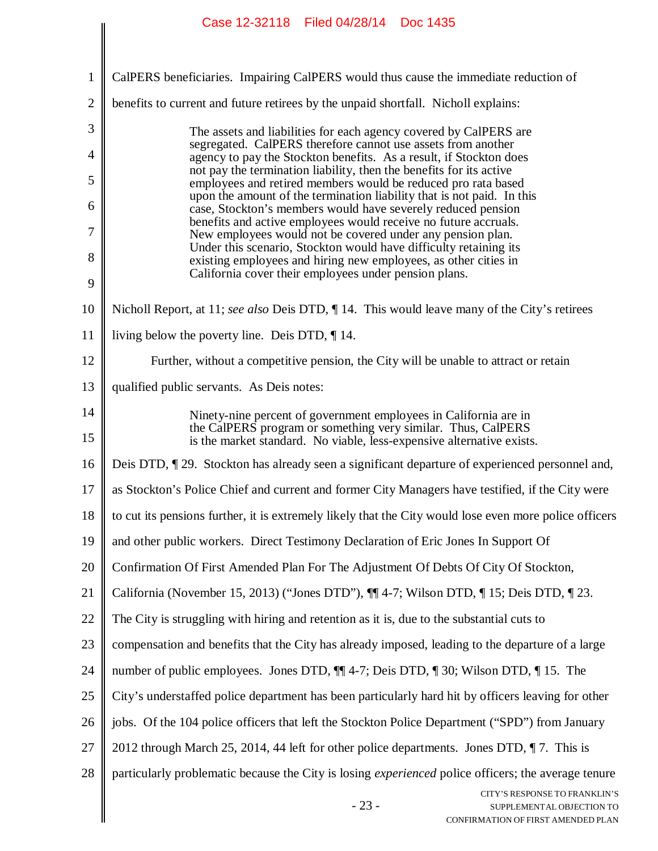|                | Case IZ-32118 - Fileu 04/28/14 - DOC 1435                                                                                                                                                                 |
|----------------|-----------------------------------------------------------------------------------------------------------------------------------------------------------------------------------------------------------|
|                |                                                                                                                                                                                                           |
| $\mathbf{1}$   | CalPERS beneficiaries. Impairing CalPERS would thus cause the immediate reduction of                                                                                                                      |
| $\overline{2}$ | benefits to current and future retirees by the unpaid shortfall. Nicholl explains:                                                                                                                        |
| 3              | The assets and liabilities for each agency covered by CalPERS are<br>segregated. CalPERS therefore cannot use assets from another                                                                         |
| $\overline{4}$ | agency to pay the Stockton benefits. As a result, if Stockton does<br>not pay the termination liability, then the benefits for its active                                                                 |
| 5              | employees and retired members would be reduced pro rata based<br>upon the amount of the termination liability that is not paid. In this                                                                   |
| 6              | case, Stockton's members would have severely reduced pension                                                                                                                                              |
| 7              | benefits and active employees would receive no future accruals.<br>New employees would not be covered under any pension plan.                                                                             |
| 8              | Under this scenario, Stockton would have difficulty retaining its<br>existing employees and hiring new employees, as other cities in                                                                      |
| 9              | California cover their employees under pension plans.                                                                                                                                                     |
| 10             | Nicholl Report, at 11; see also Deis DTD, ¶ 14. This would leave many of the City's retirees                                                                                                              |
| 11             | living below the poverty line. Deis DTD, $\P$ 14.                                                                                                                                                         |
| 12             | Further, without a competitive pension, the City will be unable to attract or retain                                                                                                                      |
| 13             | qualified public servants. As Deis notes:                                                                                                                                                                 |
| 14<br>15       | Ninety-nine percent of government employees in California are in<br>the CalPERS program or something very similar. Thus, CalPERS<br>is the market standard. No viable, less-expensive alternative exists. |
| 16             | Deis DTD, 129. Stockton has already seen a significant departure of experienced personnel and,                                                                                                            |
| 17             | as Stockton's Police Chief and current and former City Managers have testified, if the City were                                                                                                          |
| 18             | to cut its pensions further, it is extremely likely that the City would lose even more police officers                                                                                                    |
| 19             | and other public workers. Direct Testimony Declaration of Eric Jones In Support Of                                                                                                                        |
| 20             | Confirmation Of First Amended Plan For The Adjustment Of Debts Of City Of Stockton,                                                                                                                       |
| 21             | California (November 15, 2013) ("Jones DTD"), $\P$ 4-7; Wilson DTD, $\P$ 15; Deis DTD, $\P$ 23.                                                                                                           |
| 22             | The City is struggling with hiring and retention as it is, due to the substantial cuts to                                                                                                                 |
| 23             | compensation and benefits that the City has already imposed, leading to the departure of a large                                                                                                          |
| 24             | number of public employees. Jones DTD, $\P$ 4-7; Deis DTD, $\P$ 30; Wilson DTD, $\P$ 15. The                                                                                                              |
| 25             | City's understaffed police department has been particularly hard hit by officers leaving for other                                                                                                        |
| 26             | jobs. Of the 104 police officers that left the Stockton Police Department ("SPD") from January                                                                                                            |
| 27             | 2012 through March 25, 2014, 44 left for other police departments. Jones DTD, ¶7. This is                                                                                                                 |
| 28             | particularly problematic because the City is losing <i>experienced</i> police officers; the average tenure                                                                                                |
|                | CITY'S RESPONSE TO FRANKLIN'S<br>$-23-$<br>SUPPLEMENTAL OBJECTION TO<br>CONFIRMATION OF FIRST AMENDED PLAN                                                                                                |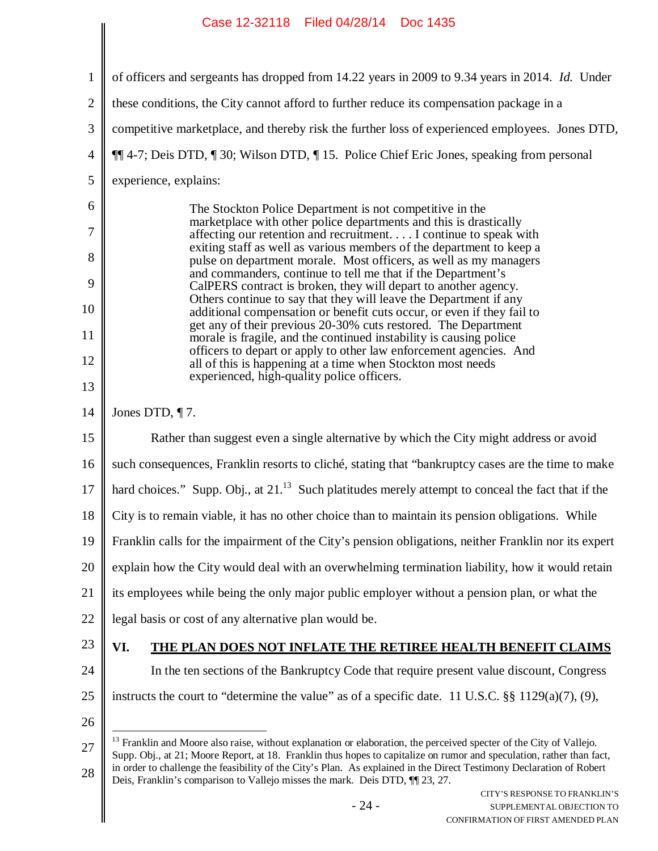| 1              | of officers and sergeants has dropped from 14.22 years in 2009 to 9.34 years in 2014. Id. Under                                                                                                                                                                                                                                                                                                                                                                    |
|----------------|--------------------------------------------------------------------------------------------------------------------------------------------------------------------------------------------------------------------------------------------------------------------------------------------------------------------------------------------------------------------------------------------------------------------------------------------------------------------|
| $\overline{2}$ | these conditions, the City cannot afford to further reduce its compensation package in a                                                                                                                                                                                                                                                                                                                                                                           |
| 3              | competitive marketplace, and thereby risk the further loss of experienced employees. Jones DTD,                                                                                                                                                                                                                                                                                                                                                                    |
| 4              | ¶¶ 4-7; Deis DTD, ¶ 30; Wilson DTD, ¶ 15. Police Chief Eric Jones, speaking from personal                                                                                                                                                                                                                                                                                                                                                                          |
| 5              | experience, explains:                                                                                                                                                                                                                                                                                                                                                                                                                                              |
| 6              | The Stockton Police Department is not competitive in the                                                                                                                                                                                                                                                                                                                                                                                                           |
| 7              | marketplace with other police departments and this is drastically<br>affecting our retention and recruitment I continue to speak with<br>exiting staff as well as various members of the department to keep a                                                                                                                                                                                                                                                      |
| 8              | pulse on department morale. Most officers, as well as my managers<br>and commanders, continue to tell me that if the Department's                                                                                                                                                                                                                                                                                                                                  |
| 9              | CalPERS contract is broken, they will depart to another agency.<br>Others continue to say that they will leave the Department if any                                                                                                                                                                                                                                                                                                                               |
| 10             | additional compensation or benefit cuts occur, or even if they fail to<br>get any of their previous 20-30% cuts restored. The Department                                                                                                                                                                                                                                                                                                                           |
| 11             | morale is fragile, and the continued instability is causing police<br>officers to depart or apply to other law enforcement agencies. And                                                                                                                                                                                                                                                                                                                           |
| 12             | all of this is happening at a time when Stockton most needs<br>experienced, high-quality police officers.                                                                                                                                                                                                                                                                                                                                                          |
| 13             |                                                                                                                                                                                                                                                                                                                                                                                                                                                                    |
| 14             | Jones DTD, $\P$ 7.                                                                                                                                                                                                                                                                                                                                                                                                                                                 |
| 15             | Rather than suggest even a single alternative by which the City might address or avoid                                                                                                                                                                                                                                                                                                                                                                             |
| 16             | such consequences, Franklin resorts to cliché, stating that "bankruptcy cases are the time to make                                                                                                                                                                                                                                                                                                                                                                 |
| 17             | hard choices." Supp. Obj., at $21^{13}$ Such platitudes merely attempt to conceal the fact that if the                                                                                                                                                                                                                                                                                                                                                             |
| 18             | City is to remain viable, it has no other choice than to maintain its pension obligations. While                                                                                                                                                                                                                                                                                                                                                                   |
| 19             | Franklin calls for the impairment of the City's pension obligations, neither Franklin nor its expert                                                                                                                                                                                                                                                                                                                                                               |
| 20             | explain how the City would deal with an overwhelming termination liability, how it would retain                                                                                                                                                                                                                                                                                                                                                                    |
| 21             | its employees while being the only major public employer without a pension plan, or what the                                                                                                                                                                                                                                                                                                                                                                       |
| 22             | legal basis or cost of any alternative plan would be.                                                                                                                                                                                                                                                                                                                                                                                                              |
| 23             | VI.<br><b>THE PLAN DOES NOT INFLATE THE RETIREE HEALTH BENEFIT CLAIMS</b>                                                                                                                                                                                                                                                                                                                                                                                          |
| 24             | In the ten sections of the Bankruptcy Code that require present value discount, Congress                                                                                                                                                                                                                                                                                                                                                                           |
| 25             | instructs the court to "determine the value" as of a specific date. 11 U.S.C. $\S\S 1129(a)(7)$ , (9),                                                                                                                                                                                                                                                                                                                                                             |
| 26             |                                                                                                                                                                                                                                                                                                                                                                                                                                                                    |
| 27<br>28       | <sup>13</sup> Franklin and Moore also raise, without explanation or elaboration, the perceived specter of the City of Vallejo.<br>Supp. Obj., at 21; Moore Report, at 18. Franklin thus hopes to capitalize on rumor and speculation, rather than fact,<br>in order to challenge the feasibility of the City's Plan. As explained in the Direct Testimony Declaration of Robert<br>Deis, Franklin's comparison to Vallejo misses the mark. Deis DTD, $\P$ [23, 27. |
|                | CITY'S RESPONSE TO FRANKLIN'S<br>$-24-$<br>SUPPLEMENTAL OBJECTION TO<br>CONFIRM ATION OF FIRST AMENDED PLAN-                                                                                                                                                                                                                                                                                                                                                       |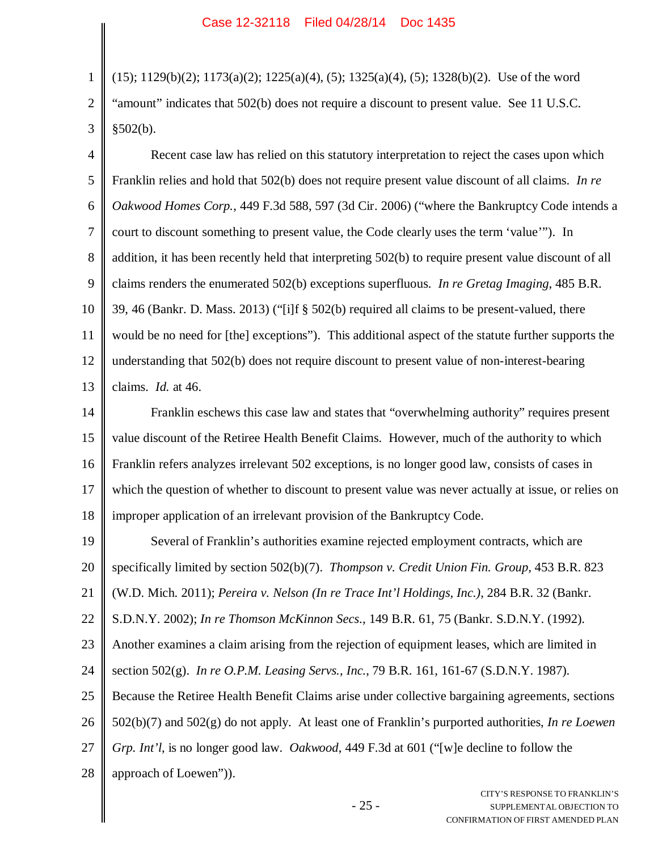1

2 3  $(15)$ ;  $1129(b)(2)$ ;  $1173(a)(2)$ ;  $1225(a)(4)$ ,  $(5)$ ;  $1325(a)(4)$ ,  $(5)$ ;  $1328(b)(2)$ . Use of the word "amount" indicates that 502(b) does not require a discount to present value. See 11 U.S.C.  $§502(b).$ 

4 5 6 7 8 9 10 11 12 13 Recent case law has relied on this statutory interpretation to reject the cases upon which Franklin relies and hold that 502(b) does not require present value discount of all claims. *In re Oakwood Homes Corp.*, 449 F.3d 588, 597 (3d Cir. 2006) ("where the Bankruptcy Code intends a court to discount something to present value, the Code clearly uses the term 'value'"). In addition, it has been recently held that interpreting 502(b) to require present value discount of all claims renders the enumerated 502(b) exceptions superfluous. *In re Gretag Imaging*, 485 B.R. 39, 46 (Bankr. D. Mass. 2013) ("[i]f § 502(b) required all claims to be present-valued, there would be no need for [the] exceptions"). This additional aspect of the statute further supports the understanding that 502(b) does not require discount to present value of non-interest-bearing claims. *Id.* at 46.

14 15 16 17 18 Franklin eschews this case law and states that "overwhelming authority" requires present value discount of the Retiree Health Benefit Claims. However, much of the authority to which Franklin refers analyzes irrelevant 502 exceptions, is no longer good law, consists of cases in which the question of whether to discount to present value was never actually at issue, or relies on improper application of an irrelevant provision of the Bankruptcy Code.

19 20 21 22 23 24 25 26 27 28 Several of Franklin's authorities examine rejected employment contracts, which are specifically limited by section 502(b)(7). *Thompson v. Credit Union Fin. Group*, 453 B.R. 823 (W.D. Mich. 2011); *Pereira v. Nelson (In re Trace Int'l Holdings, Inc.)*, 284 B.R. 32 (Bankr. S.D.N.Y. 2002); *In re Thomson McKinnon Secs*., 149 B.R. 61, 75 (Bankr. S.D.N.Y. (1992). Another examines a claim arising from the rejection of equipment leases, which are limited in section 502(g). *In re O.P.M. Leasing Servs., Inc.*, 79 B.R. 161, 161-67 (S.D.N.Y. 1987). Because the Retiree Health Benefit Claims arise under collective bargaining agreements, sections 502(b)(7) and 502(g) do not apply. At least one of Franklin's purported authorities, *In re Loewen Grp. Int'l*, is no longer good law. *Oakwood*, 449 F.3d at 601 ("[w]e decline to follow the approach of Loewen")).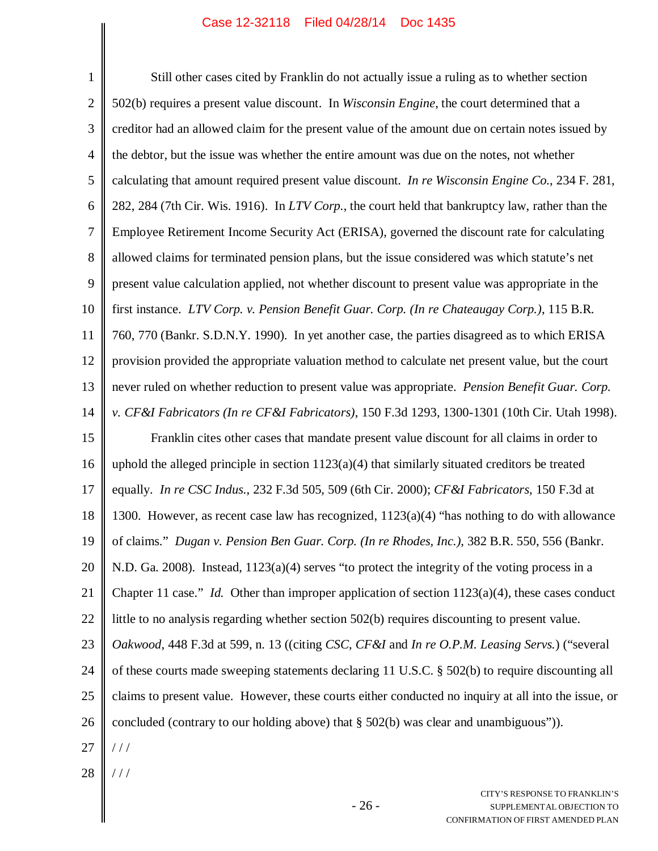| $\mathbf{1}$   | Still other cases cited by Franklin do not actually issue a ruling as to whether section                   |
|----------------|------------------------------------------------------------------------------------------------------------|
| $\overline{2}$ | 502(b) requires a present value discount. In Wisconsin Engine, the court determined that a                 |
| 3              | creditor had an allowed claim for the present value of the amount due on certain notes issued by           |
| $\overline{4}$ | the debtor, but the issue was whether the entire amount was due on the notes, not whether                  |
| 5              | calculating that amount required present value discount. In re Wisconsin Engine Co., 234 F. 281,           |
| 6              | 282, 284 (7th Cir. Wis. 1916). In LTV Corp., the court held that bankruptcy law, rather than the           |
| 7              | Employee Retirement Income Security Act (ERISA), governed the discount rate for calculating                |
| 8              | allowed claims for terminated pension plans, but the issue considered was which statute's net              |
| 9              | present value calculation applied, not whether discount to present value was appropriate in the            |
| 10             | first instance. LTV Corp. v. Pension Benefit Guar. Corp. (In re Chateaugay Corp.), 115 B.R.                |
| 11             | 760, 770 (Bankr. S.D.N.Y. 1990). In yet another case, the parties disagreed as to which ERISA              |
| 12             | provision provided the appropriate valuation method to calculate net present value, but the court          |
| 13             | never ruled on whether reduction to present value was appropriate. Pension Benefit Guar. Corp.             |
| 14             | v. CF&I Fabricators (In re CF&I Fabricators), 150 F.3d 1293, 1300-1301 (10th Cir. Utah 1998).              |
| 15             | Franklin cites other cases that mandate present value discount for all claims in order to                  |
| 16             | uphold the alleged principle in section $1123(a)(4)$ that similarly situated creditors be treated          |
| 17             | equally. In re CSC Indus., 232 F.3d 505, 509 (6th Cir. 2000); CF &I Fabricators, 150 F.3d at               |
| 18             | 1300. However, as recent case law has recognized, 1123(a)(4) "has nothing to do with allowance             |
| 19             | of claims." Dugan v. Pension Ben Guar. Corp. (In re Rhodes, Inc.), 382 B.R. 550, 556 (Bankr.               |
| 20             | N.D. Ga. 2008). Instead, $1123(a)(4)$ serves "to protect the integrity of the voting process in a          |
| 21             | Chapter 11 case." <i>Id.</i> Other than improper application of section $1123(a)(4)$ , these cases conduct |
| 22             | little to no analysis regarding whether section 502(b) requires discounting to present value.              |
| 23             | Oakwood, 448 F.3d at 599, n. 13 ((citing CSC, CF&I and In re O.P.M. Leasing Servs.) ("several              |
| 24             | of these courts made sweeping statements declaring 11 U.S.C. § 502(b) to require discounting all           |
| 25             | claims to present value. However, these courts either conducted no inquiry at all into the issue, or       |
| 26             | concluded (contrary to our holding above) that $\S$ 502(b) was clear and unambiguous")).                   |
| 27             | //                                                                                                         |
| 28             |                                                                                                            |